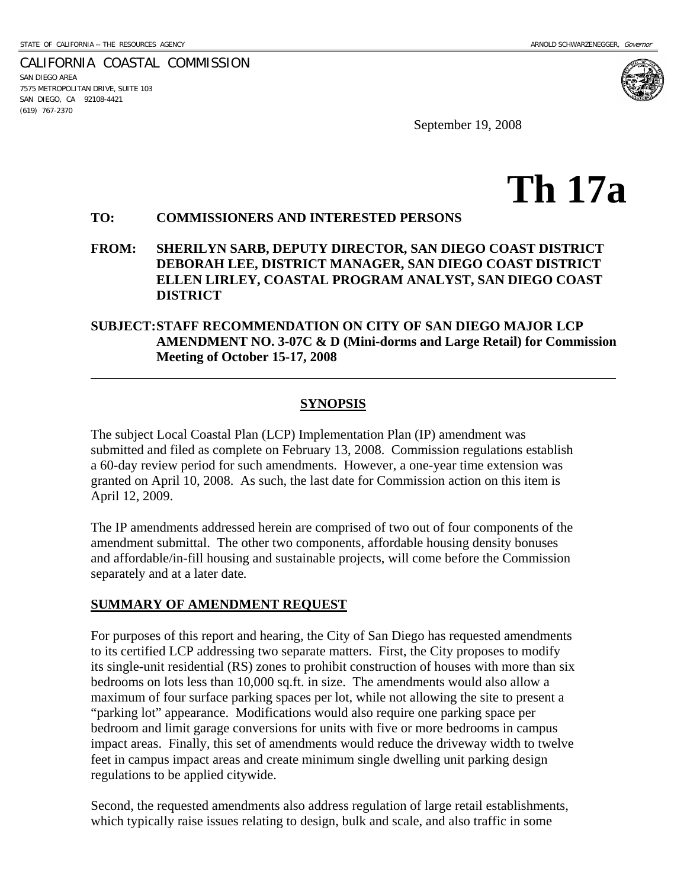7575 METROPOLITAN DRIVE, SUITE 103 SAN DIEGO, CA 92108-4421

SAN DIEGO AREA

(619) 767-2370

CALIFORNIA COASTAL COMMISSION

September 19, 2008



### **TO: COMMISSIONERS AND INTERESTED PERSONS**

### **FROM: SHERILYN SARB, DEPUTY DIRECTOR, SAN DIEGO COAST DISTRICT DEBORAH LEE, DISTRICT MANAGER, SAN DIEGO COAST DISTRICT ELLEN LIRLEY, COASTAL PROGRAM ANALYST, SAN DIEGO COAST DISTRICT**

### **SUBJECT: STAFF RECOMMENDATION ON CITY OF SAN DIEGO MAJOR LCP AMENDMENT NO. 3-07C & D (Mini-dorms and Large Retail) for Commission Meeting of October 15-17, 2008**

### **SYNOPSIS**

The subject Local Coastal Plan (LCP) Implementation Plan (IP) amendment was submitted and filed as complete on February 13, 2008. Commission regulations establish a 60-day review period for such amendments. However, a one-year time extension was granted on April 10, 2008. As such, the last date for Commission action on this item is April 12, 2009.

The IP amendments addressed herein are comprised of two out of four components of the amendment submittal. The other two components, affordable housing density bonuses and affordable/in-fill housing and sustainable projects, will come before the Commission separately and at a later date*.*

### **SUMMARY OF AMENDMENT REQUEST**

 $\overline{a}$ 

For purposes of this report and hearing, the City of San Diego has requested amendments to its certified LCP addressing two separate matters. First, the City proposes to modify its single-unit residential (RS) zones to prohibit construction of houses with more than six bedrooms on lots less than 10,000 sq.ft. in size. The amendments would also allow a maximum of four surface parking spaces per lot, while not allowing the site to present a "parking lot" appearance. Modifications would also require one parking space per bedroom and limit garage conversions for units with five or more bedrooms in campus impact areas. Finally, this set of amendments would reduce the driveway width to twelve feet in campus impact areas and create minimum single dwelling unit parking design regulations to be applied citywide.

Second, the requested amendments also address regulation of large retail establishments, which typically raise issues relating to design, bulk and scale, and also traffic in some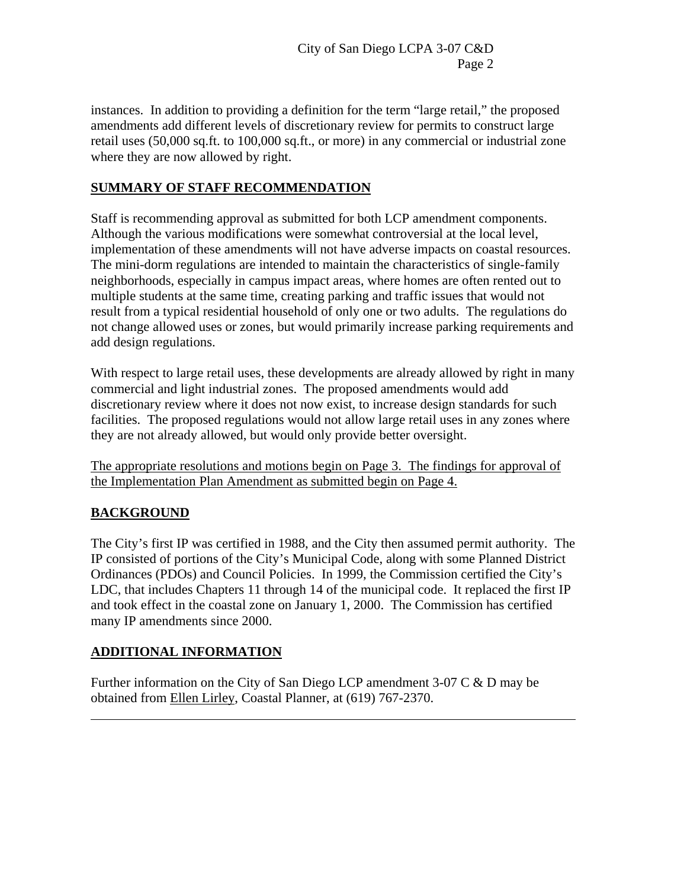instances. In addition to providing a definition for the term "large retail," the proposed amendments add different levels of discretionary review for permits to construct large retail uses (50,000 sq.ft. to 100,000 sq.ft., or more) in any commercial or industrial zone where they are now allowed by right.

### **SUMMARY OF STAFF RECOMMENDATION**

Staff is recommending approval as submitted for both LCP amendment components. Although the various modifications were somewhat controversial at the local level, implementation of these amendments will not have adverse impacts on coastal resources. The mini-dorm regulations are intended to maintain the characteristics of single-family neighborhoods, especially in campus impact areas, where homes are often rented out to multiple students at the same time, creating parking and traffic issues that would not result from a typical residential household of only one or two adults. The regulations do not change allowed uses or zones, but would primarily increase parking requirements and add design regulations.

With respect to large retail uses, these developments are already allowed by right in many commercial and light industrial zones. The proposed amendments would add discretionary review where it does not now exist, to increase design standards for such facilities. The proposed regulations would not allow large retail uses in any zones where they are not already allowed, but would only provide better oversight.

The appropriate resolutions and motions begin on Page 3. The findings for approval of the Implementation Plan Amendment as submitted begin on Page 4.

### **BACKGROUND**

 $\overline{a}$ 

The City's first IP was certified in 1988, and the City then assumed permit authority. The IP consisted of portions of the City's Municipal Code, along with some Planned District Ordinances (PDOs) and Council Policies. In 1999, the Commission certified the City's LDC, that includes Chapters 11 through 14 of the municipal code. It replaced the first IP and took effect in the coastal zone on January 1, 2000. The Commission has certified many IP amendments since 2000.

### **ADDITIONAL INFORMATION**

Further information on the City of San Diego LCP amendment 3-07 C & D may be obtained from Ellen Lirley, Coastal Planner, at (619) 767-2370.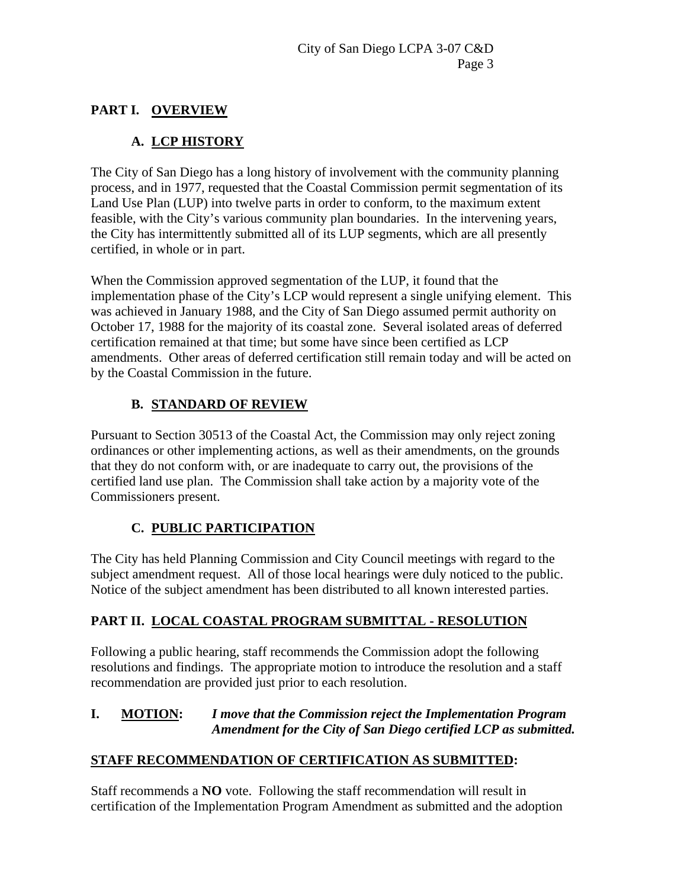# **PART I. OVERVIEW**

# **A. LCP HISTORY**

The City of San Diego has a long history of involvement with the community planning process, and in 1977, requested that the Coastal Commission permit segmentation of its Land Use Plan (LUP) into twelve parts in order to conform, to the maximum extent feasible, with the City's various community plan boundaries. In the intervening years, the City has intermittently submitted all of its LUP segments, which are all presently certified, in whole or in part.

When the Commission approved segmentation of the LUP, it found that the implementation phase of the City's LCP would represent a single unifying element. This was achieved in January 1988, and the City of San Diego assumed permit authority on October 17, 1988 for the majority of its coastal zone. Several isolated areas of deferred certification remained at that time; but some have since been certified as LCP amendments. Other areas of deferred certification still remain today and will be acted on by the Coastal Commission in the future.

# **B. STANDARD OF REVIEW**

Pursuant to Section 30513 of the Coastal Act, the Commission may only reject zoning ordinances or other implementing actions, as well as their amendments, on the grounds that they do not conform with, or are inadequate to carry out, the provisions of the certified land use plan. The Commission shall take action by a majority vote of the Commissioners present.

# **C. PUBLIC PARTICIPATION**

The City has held Planning Commission and City Council meetings with regard to the subject amendment request. All of those local hearings were duly noticed to the public. Notice of the subject amendment has been distributed to all known interested parties.

# **PART II. LOCAL COASTAL PROGRAM SUBMITTAL - RESOLUTION**

Following a public hearing, staff recommends the Commission adopt the following resolutions and findings. The appropriate motion to introduce the resolution and a staff recommendation are provided just prior to each resolution.

### **I. MOTION:** *I move that the Commission reject the Implementation Program Amendment for the City of San Diego certified LCP as submitted.*

### **STAFF RECOMMENDATION OF CERTIFICATION AS SUBMITTED:**

Staff recommends a **NO** vote. Following the staff recommendation will result in certification of the Implementation Program Amendment as submitted and the adoption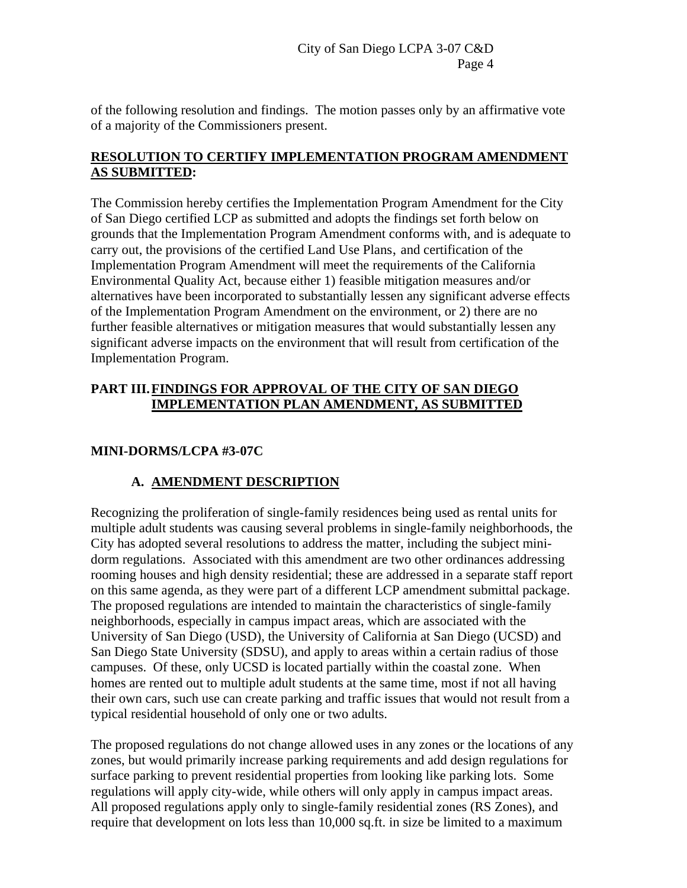of the following resolution and findings. The motion passes only by an affirmative vote of a majority of the Commissioners present.

### **RESOLUTION TO CERTIFY IMPLEMENTATION PROGRAM AMENDMENT AS SUBMITTED:**

The Commission hereby certifies the Implementation Program Amendment for the City of San Diego certified LCP as submitted and adopts the findings set forth below on grounds that the Implementation Program Amendment conforms with, and is adequate to carry out, the provisions of the certified Land Use Plans, and certification of the Implementation Program Amendment will meet the requirements of the California Environmental Quality Act, because either 1) feasible mitigation measures and/or alternatives have been incorporated to substantially lessen any significant adverse effects of the Implementation Program Amendment on the environment, or 2) there are no further feasible alternatives or mitigation measures that would substantially lessen any significant adverse impacts on the environment that will result from certification of the Implementation Program.

## **PART III. FINDINGS FOR APPROVAL OF THE CITY OF SAN DIEGO IMPLEMENTATION PLAN AMENDMENT, AS SUBMITTED**

## **MINI-DORMS/LCPA #3-07C**

# **A. AMENDMENT DESCRIPTION**

Recognizing the proliferation of single-family residences being used as rental units for multiple adult students was causing several problems in single-family neighborhoods, the City has adopted several resolutions to address the matter, including the subject minidorm regulations. Associated with this amendment are two other ordinances addressing rooming houses and high density residential; these are addressed in a separate staff report on this same agenda, as they were part of a different LCP amendment submittal package. The proposed regulations are intended to maintain the characteristics of single-family neighborhoods, especially in campus impact areas, which are associated with the University of San Diego (USD), the University of California at San Diego (UCSD) and San Diego State University (SDSU), and apply to areas within a certain radius of those campuses. Of these, only UCSD is located partially within the coastal zone. When homes are rented out to multiple adult students at the same time, most if not all having their own cars, such use can create parking and traffic issues that would not result from a typical residential household of only one or two adults.

The proposed regulations do not change allowed uses in any zones or the locations of any zones, but would primarily increase parking requirements and add design regulations for surface parking to prevent residential properties from looking like parking lots. Some regulations will apply city-wide, while others will only apply in campus impact areas. All proposed regulations apply only to single-family residential zones (RS Zones), and require that development on lots less than 10,000 sq.ft. in size be limited to a maximum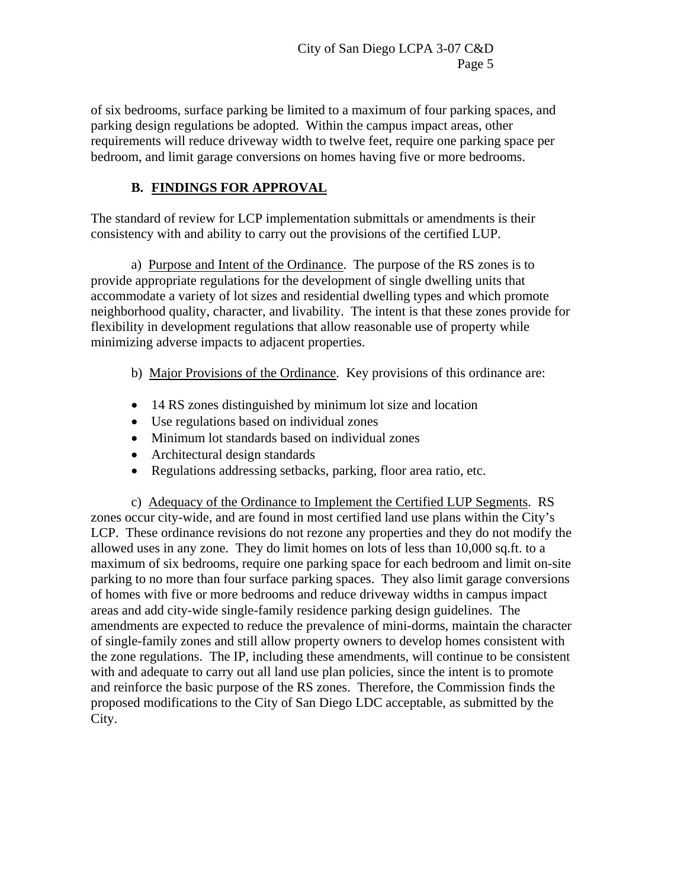of six bedrooms, surface parking be limited to a maximum of four parking spaces, and parking design regulations be adopted. Within the campus impact areas, other requirements will reduce driveway width to twelve feet, require one parking space per bedroom, and limit garage conversions on homes having five or more bedrooms.

# **B. FINDINGS FOR APPROVAL**

The standard of review for LCP implementation submittals or amendments is their consistency with and ability to carry out the provisions of the certified LUP.

 a) Purpose and Intent of the Ordinance. The purpose of the RS zones is to provide appropriate regulations for the development of single dwelling units that accommodate a variety of lot sizes and residential dwelling types and which promote neighborhood quality, character, and livability. The intent is that these zones provide for flexibility in development regulations that allow reasonable use of property while minimizing adverse impacts to adjacent properties.

- b) Major Provisions of the Ordinance. Key provisions of this ordinance are:
- 14 RS zones distinguished by minimum lot size and location
- Use regulations based on individual zones
- Minimum lot standards based on individual zones
- Architectural design standards
- Regulations addressing setbacks, parking, floor area ratio, etc.

 c) Adequacy of the Ordinance to Implement the Certified LUP Segments. RS zones occur city-wide, and are found in most certified land use plans within the City's LCP. These ordinance revisions do not rezone any properties and they do not modify the allowed uses in any zone. They do limit homes on lots of less than 10,000 sq.ft. to a maximum of six bedrooms, require one parking space for each bedroom and limit on-site parking to no more than four surface parking spaces. They also limit garage conversions of homes with five or more bedrooms and reduce driveway widths in campus impact areas and add city-wide single-family residence parking design guidelines. The amendments are expected to reduce the prevalence of mini-dorms, maintain the character of single-family zones and still allow property owners to develop homes consistent with the zone regulations. The IP, including these amendments, will continue to be consistent with and adequate to carry out all land use plan policies, since the intent is to promote and reinforce the basic purpose of the RS zones. Therefore, the Commission finds the proposed modifications to the City of San Diego LDC acceptable, as submitted by the City.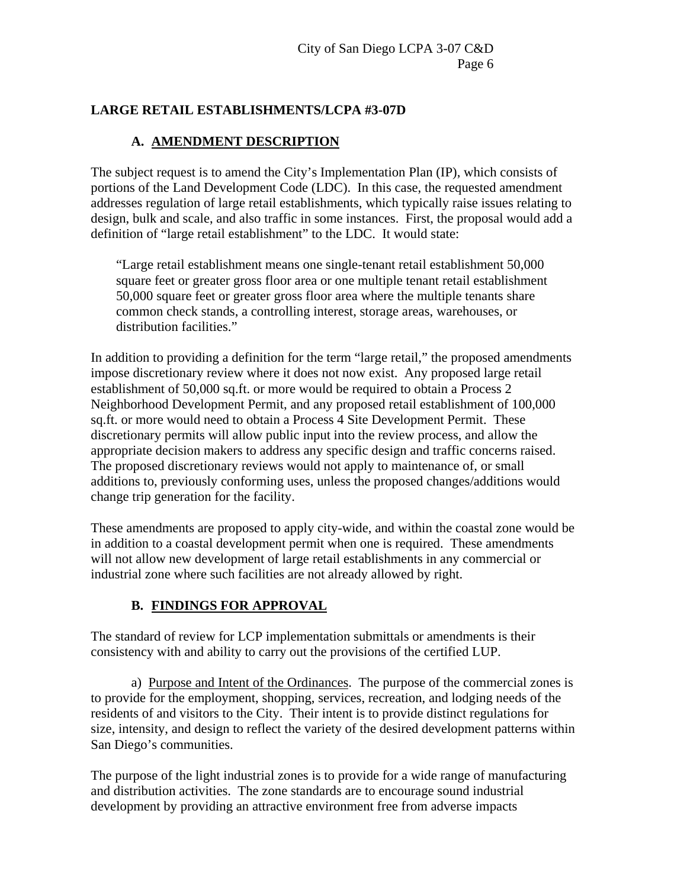## **LARGE RETAIL ESTABLISHMENTS/LCPA #3-07D**

## **A. AMENDMENT DESCRIPTION**

The subject request is to amend the City's Implementation Plan (IP), which consists of portions of the Land Development Code (LDC). In this case, the requested amendment addresses regulation of large retail establishments, which typically raise issues relating to design, bulk and scale, and also traffic in some instances. First, the proposal would add a definition of "large retail establishment" to the LDC. It would state:

"Large retail establishment means one single-tenant retail establishment 50,000 square feet or greater gross floor area or one multiple tenant retail establishment 50,000 square feet or greater gross floor area where the multiple tenants share common check stands, a controlling interest, storage areas, warehouses, or distribution facilities."

In addition to providing a definition for the term "large retail," the proposed amendments impose discretionary review where it does not now exist. Any proposed large retail establishment of 50,000 sq.ft. or more would be required to obtain a Process 2 Neighborhood Development Permit, and any proposed retail establishment of 100,000 sq.ft. or more would need to obtain a Process 4 Site Development Permit. These discretionary permits will allow public input into the review process, and allow the appropriate decision makers to address any specific design and traffic concerns raised. The proposed discretionary reviews would not apply to maintenance of, or small additions to, previously conforming uses, unless the proposed changes/additions would change trip generation for the facility.

These amendments are proposed to apply city-wide, and within the coastal zone would be in addition to a coastal development permit when one is required. These amendments will not allow new development of large retail establishments in any commercial or industrial zone where such facilities are not already allowed by right.

# **B. FINDINGS FOR APPROVAL**

The standard of review for LCP implementation submittals or amendments is their consistency with and ability to carry out the provisions of the certified LUP.

 a) Purpose and Intent of the Ordinances. The purpose of the commercial zones is to provide for the employment, shopping, services, recreation, and lodging needs of the residents of and visitors to the City. Their intent is to provide distinct regulations for size, intensity, and design to reflect the variety of the desired development patterns within San Diego's communities.

The purpose of the light industrial zones is to provide for a wide range of manufacturing and distribution activities. The zone standards are to encourage sound industrial development by providing an attractive environment free from adverse impacts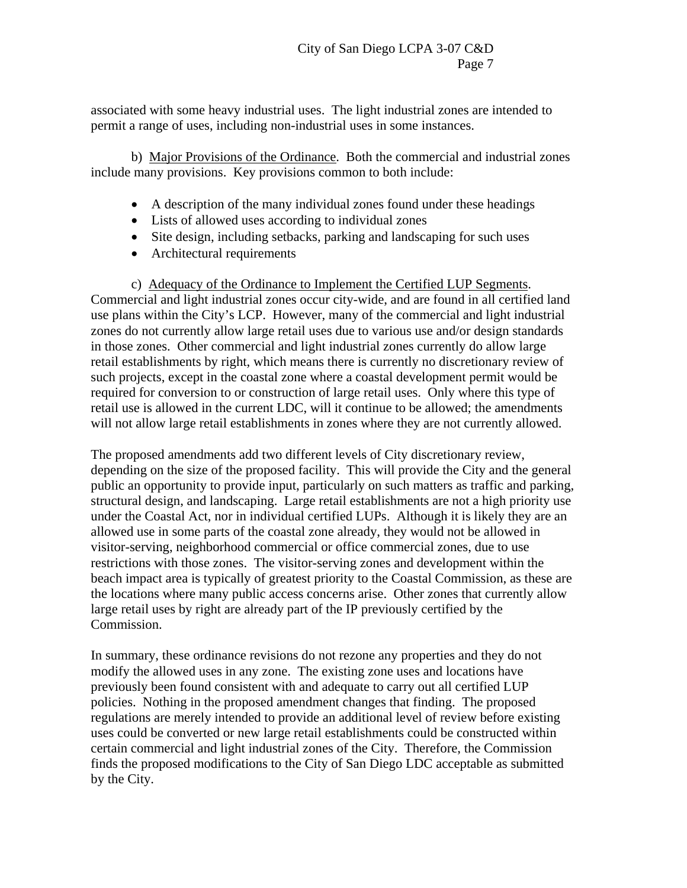associated with some heavy industrial uses. The light industrial zones are intended to permit a range of uses, including non-industrial uses in some instances.

 b) Major Provisions of the Ordinance. Both the commercial and industrial zones include many provisions. Key provisions common to both include:

- A description of the many individual zones found under these headings
- Lists of allowed uses according to individual zones
- Site design, including setbacks, parking and landscaping for such uses
- Architectural requirements

 c) Adequacy of the Ordinance to Implement the Certified LUP Segments. Commercial and light industrial zones occur city-wide, and are found in all certified land use plans within the City's LCP. However, many of the commercial and light industrial zones do not currently allow large retail uses due to various use and/or design standards in those zones. Other commercial and light industrial zones currently do allow large retail establishments by right, which means there is currently no discretionary review of such projects, except in the coastal zone where a coastal development permit would be required for conversion to or construction of large retail uses. Only where this type of retail use is allowed in the current LDC, will it continue to be allowed; the amendments will not allow large retail establishments in zones where they are not currently allowed.

The proposed amendments add two different levels of City discretionary review, depending on the size of the proposed facility. This will provide the City and the general public an opportunity to provide input, particularly on such matters as traffic and parking, structural design, and landscaping. Large retail establishments are not a high priority use under the Coastal Act, nor in individual certified LUPs. Although it is likely they are an allowed use in some parts of the coastal zone already, they would not be allowed in visitor-serving, neighborhood commercial or office commercial zones, due to use restrictions with those zones. The visitor-serving zones and development within the beach impact area is typically of greatest priority to the Coastal Commission, as these are the locations where many public access concerns arise. Other zones that currently allow large retail uses by right are already part of the IP previously certified by the Commission.

In summary, these ordinance revisions do not rezone any properties and they do not modify the allowed uses in any zone. The existing zone uses and locations have previously been found consistent with and adequate to carry out all certified LUP policies. Nothing in the proposed amendment changes that finding. The proposed regulations are merely intended to provide an additional level of review before existing uses could be converted or new large retail establishments could be constructed within certain commercial and light industrial zones of the City. Therefore, the Commission finds the proposed modifications to the City of San Diego LDC acceptable as submitted by the City.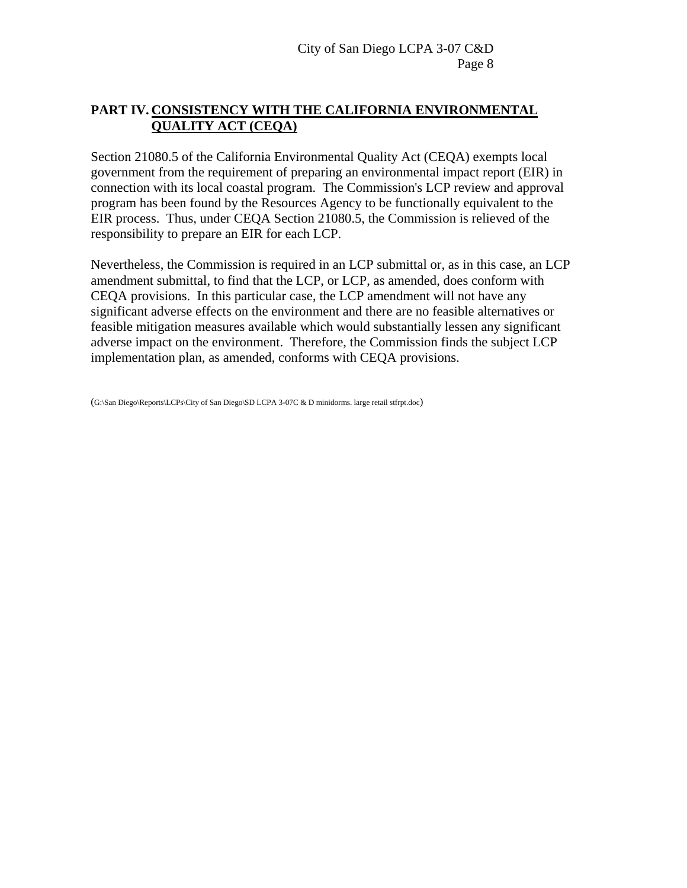## **PART IV. CONSISTENCY WITH THE CALIFORNIA ENVIRONMENTAL QUALITY ACT (CEQA)**

Section 21080.5 of the California Environmental Quality Act (CEQA) exempts local government from the requirement of preparing an environmental impact report (EIR) in connection with its local coastal program. The Commission's LCP review and approval program has been found by the Resources Agency to be functionally equivalent to the EIR process. Thus, under CEQA Section 21080.5, the Commission is relieved of the responsibility to prepare an EIR for each LCP.

Nevertheless, the Commission is required in an LCP submittal or, as in this case, an LCP amendment submittal, to find that the LCP, or LCP, as amended, does conform with CEQA provisions. In this particular case, the LCP amendment will not have any significant adverse effects on the environment and there are no feasible alternatives or feasible mitigation measures available which would substantially lessen any significant adverse impact on the environment. Therefore, the Commission finds the subject LCP implementation plan, as amended, conforms with CEQA provisions.

(G:\San Diego\Reports\LCPs\City of San Diego\SD LCPA 3-07C & D minidorms. large retail stfrpt.doc)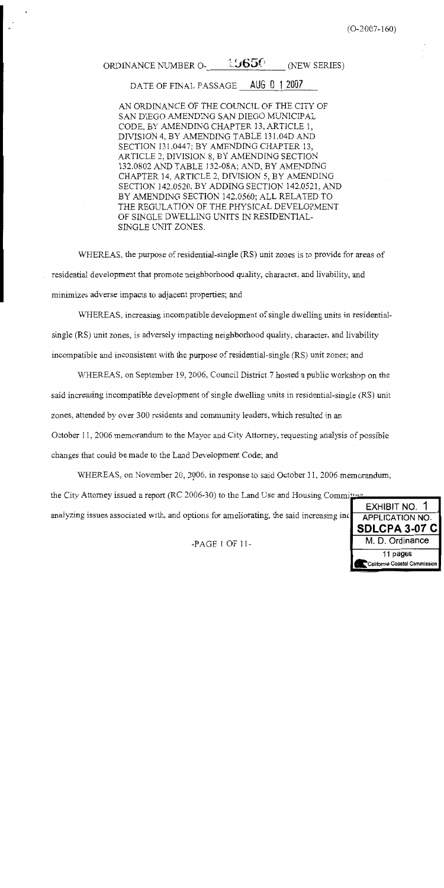EXHIBIT NO. 1

APPLICATION NO. SDLCPA 3-07 C M. D. Ordinance

11 pages California Coastal Commission

#### 19650 (NEW SERIES) ORDINANCE NUMBER O-

# DATE OF FINAL PASSAGE AUG 0 1 2007

AN ORDINANCE OF THE COUNCIL OF THE CITY OF SAN DIEGO AMENDING SAN DIEGO MUNICIPAL CODE, BY AMENDING CHAPTER 13, ARTICLE 1, DIVISION 4, BY AMENDING TABLE 131.04D AND SECTION 131.0447; BY AMENDING CHAPTER 13, ARTICLE 2, DIVISION 8, BY AMENDING SECTION 132.0802 AND TABLE 132-08A; AND, BY AMENDING CHAPTER 14, ARTICLE 2, DIVISION 5, BY AMENDING SECTION 142.0520, BY ADDING SECTION 142.0521, AND BY AMENDING SECTION 142.0560; ALL RELATED TO THE REGULATION OF THE PHYSICAL DEVELOPMENT OF SINGLE DWELLING UNITS IN RESIDENTIAL-SINGLE UNIT ZONES.

WHEREAS, the purpose of residential-single (RS) unit zones is to provide for areas of residential development that promote neighborhood quality, character, and livability, and minimizes adverse impacts to adjacent properties; and

WHEREAS, increasing incompatible development of single dwelling units in residential-

single (RS) unit zones, is adversely impacting neighborhood quality, character, and livability

incompatible and inconsistent with the purpose of residential-single (RS) unit zones; and

WHEREAS, on September 19, 2006, Council District 7 hosted a public workshop on the said increasing incompatible development of single dwelling units in residential-single (RS) unit zones, attended by over 300 residents and community leaders, which resulted in an October 11, 2006 memorandum to the Mayor and City Attorney, requesting analysis of possible changes that could be made to the Land Development Code; and

WHEREAS, on November 20, 2006, in response to said October 11, 2006 memorandum,

the City Attorney issued a report (RC 2006-30) to the Land Use and Housing Committee

analyzing issues associated with, and options for ameliorating, the said increasing inc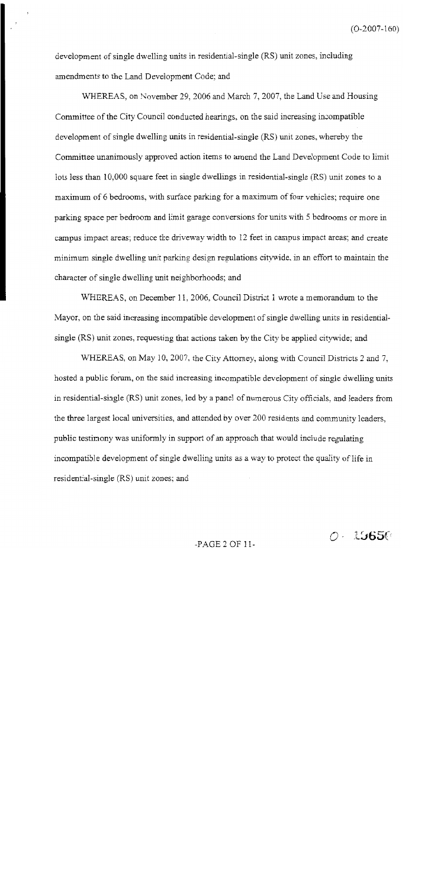O - 19650

development of single dwelling units in residential-single (RS) unit zones, including amendments to the Land Development Code; and

WHEREAS, on November 29, 2006 and March 7, 2007, the Land Use and Housing Committee of the City Council conducted hearings, on the said increasing incompatible development of single dwelling units in residential-single (RS) unit zones, whereby the Committee unanimously approved action items to amend the Land Development Code to limit lots less than 10,000 square feet in single dwellings in residential-single (RS) unit zones to a maximum of 6 bedrooms, with surface parking for a maximum of four vehicles; require one parking space per bedroom and limit garage conversions for units with 5 bedrooms or more in campus impact areas; reduce the driveway width to 12 feet in campus impact areas; and create minimum single dwelling unit parking design regulations citywide, in an effort to maintain the character of single dwelling unit neighborhoods; and

WHEREAS, on December 11, 2006, Council District 1 wrote a memorandum to the Mayor, on the said increasing incompatible development of single dwelling units in residentialsingle (RS) unit zones, requesting that actions taken by the City be applied citywide; and

WHEREAS, on May 10, 2007, the City Attorney, along with Council Districts 2 and 7, hosted a public forum, on the said increasing incompatible development of single dwelling units in residential-single (RS) unit zones, led by a panel of numerous City officials, and leaders from the three largest local universities, and attended by over 200 residents and community leaders, public testimony was uniformly in support of an approach that would include regulating incompatible development of single dwelling units as a way to protect the quality of life in residential-single (RS) unit zones; and

 $-PAGE 2 OF 11$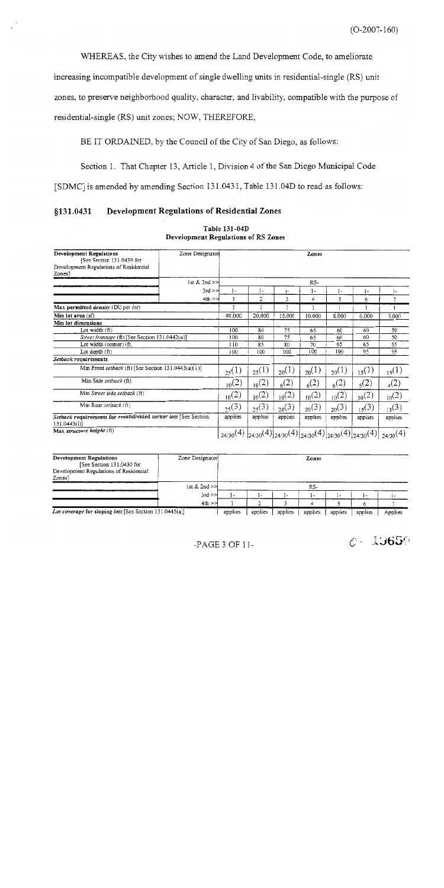WHEREAS, the City wishes to amend the Land Development Code, to ameliorate

increasing incompatible development of single dwelling units in residential-single (RS) unit

zones, to preserve neighborhood quality, character, and livability, compatible with the purpose of

residential-single (RS) unit zones; NOW, THEREFORE,

BE IT ORDAINED, by the Council of the City of San Diego, as follows:

Section 1. That Chapter 13, Article 1, Division 4 of the San Diego Municipal Code

[SDMC] is amended by amending Section 131.0431, Table 131.04D to read as follows:

#### §131.0431 Development Regulations of Residential Zones

| <b>Development Regulations</b><br>[See Section 131.0430 for                   |                  | Zone Designator<br>Zones                                                            |                |              |            |            |              |               |
|-------------------------------------------------------------------------------|------------------|-------------------------------------------------------------------------------------|----------------|--------------|------------|------------|--------------|---------------|
| Development Regulations of Residential<br>Zones?                              |                  |                                                                                     |                |              |            |            |              |               |
|                                                                               | $1st & 2nd \geq$ |                                                                                     |                |              | RS-        |            |              |               |
|                                                                               | $3rd \gg$        | $1 -$                                                                               | $\cdot$        | $\mathbf{I}$ | j.         | ļ-         | $\mathbf{1}$ | ŀ.            |
|                                                                               | $4th$ $>$        |                                                                                     | $\overline{2}$ | 3            | 4          | 5          | 6            | 7             |
| Max permitted density (DU per lot)                                            |                  |                                                                                     |                |              |            |            |              |               |
| Min lot area (sf)                                                             |                  | 40,000                                                                              | 20,000         | 15.000       | 10,000     | 8,000      | 6.000        | 5,000         |
| Min lot dimensions                                                            |                  |                                                                                     |                |              |            |            |              |               |
| Lot width $(f)$                                                               |                  | 100                                                                                 | 80             | 75           | 65         | 60         | 60           | 50            |
| Street frontage (ft) [See Section 131.0442(a)]                                |                  | 100                                                                                 | 80             | 75           | 65         | 60         | 60           | 50            |
| Lot width $\left(\text{corner}\right)(\text{ft})$                             |                  | 110                                                                                 | 85             | 80           | 70         | 65         | 65           | 55            |
| Lot depth (ft)                                                                |                  | 100                                                                                 | 100            | 100          | 100        | 100        | 95           | 95            |
| Setback requirements                                                          |                  |                                                                                     |                |              |            |            |              |               |
| Min Front setback (ft) [See Section $131.0443(a)(1)$ ]                        |                  | $_{25}(1)$                                                                          | $_{25}(1)$     | $_{20}(1)$   | $_{20}(1)$ | $_{20}(1)$ | $_{15}(1)$   | $_{15}(1)$    |
| Min Side setback (ft)                                                         |                  | $_{10}(2)$                                                                          | $_{10}(2)$     | $_{6}(2)$    | $_{6}(2)$  | $_{6}(2)$  | $_{5}(2)$    | $_{4}(2)$     |
| Min Street side setback (ft)                                                  |                  | $_{10}(2)$                                                                          | $_{10}(2)$     | $_{10}(2)$   | $_{10}(2)$ | $_{10}(2)$ | $_{10}(2)$   | $_{10}(2)$    |
| Min Rear setback (ft)                                                         |                  | $_{25}(3)$                                                                          | 25(3)          | $_{20}(3)$   | $_{20}(3)$ | $_{20}(3)$ | $_{15}(3)$   | $_{13}(3)$    |
| Setback requirements for resubdivided corner lots [See Section<br>131.0443(i) |                  | appiies                                                                             | applies        | applies      | applies    | applies    | applies      | applies       |
| Max structure height (ft)                                                     |                  | $_{24/30}(4)$ $_{24/30}(4)$ $_{24/30}(4)$ $_{24/30}(4)$ $_{24/30}(4)$ $_{24/30}(4)$ |                |              |            |            |              | $_{24/30}(4)$ |

Table 131-04D **Development Regulations of RS Zones** 

| Development Regulations<br>[See Section 131.0430 for<br>Development Regulations of Residential<br>Zones | Zone Designator                              | Zones   |         |         |         |         |         |         |  |
|---------------------------------------------------------------------------------------------------------|----------------------------------------------|---------|---------|---------|---------|---------|---------|---------|--|
|                                                                                                         | $\left  \text{st } \& \text{2nd } \right  >$ |         |         |         | RS-     |         |         |         |  |
|                                                                                                         | $3rd \geq 1$                                 | ٠       | ۰-      |         | - ا     | ۰.      | ı –     |         |  |
|                                                                                                         | $4th$ $>$                                    |         |         |         |         |         |         |         |  |
| Lot coverage for sloping lots [See Section 131.0445(a)]                                                 |                                              | applies | applies | applies | applies | applies | applies | Applies |  |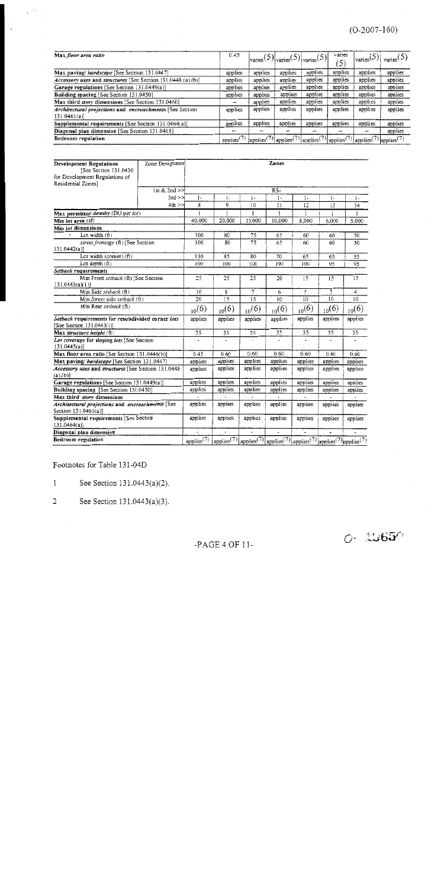| Max floor area ratio                                                    | 0.45                     |         | $ _{\text{varies}}(5) _{\text{varies}}(5) _{\text{varies}}(5) $                                                                           |         | varies<br>$\left( 5\right)$ | $ _{\text{varies}}(5) $ . | $_{\text{varies}}(5)$ |
|-------------------------------------------------------------------------|--------------------------|---------|-------------------------------------------------------------------------------------------------------------------------------------------|---------|-----------------------------|---------------------------|-----------------------|
| Max paving/ <i>hardscape</i> [See Section 131.0447]                     | applies                  | applies | applies                                                                                                                                   | applies | applies                     | applies                   | applies               |
| Accessory uses and structures [See Section 131.0448 (a).(b)]            | applies                  | applies | applies                                                                                                                                   | applies | applies                     | applies                   | applies               |
| Garage regulations [See Section 131.0449(a)]                            | applies                  | applies | applies                                                                                                                                   | applies | applies                     | applies                   | applies               |
| Building spacing [See Section 131.0450]                                 | applies                  | applies | applies                                                                                                                                   | applies | applies                     | applies                   | applies               |
| Max third story dimensions [See Section 131.0460]                       | -                        | applies | applies                                                                                                                                   | applies | applies                     | applies                   | applies               |
| Architectural projections and encroachments [See Section<br>131.0461(a) | applies                  | applies | applies                                                                                                                                   | applies | applies                     | applies                   | applies               |
| Supplemental requirements [See Section 131.0464(a)]                     | applies                  | applies | applies                                                                                                                                   | applies | applies                     | applies                   | applies               |
| Diagonal plan dimension [See Section 131.0465]                          |                          | --      |                                                                                                                                           |         |                             | --                        | applies               |
| Bedroom regulation                                                      | $applies$ <sup>(7)</sup> |         | applies <sup>(7)</sup> applies <sup>(7)</sup> applies <sup>(7)</sup> applies <sup>(7)</sup> applies <sup>(7)</sup> applies <sup>(7)</sup> |         |                             |                           |                       |

| <b>Development Regulations</b>                                                 | Zone Designator<br>Zones |                 |                 |                 |                                                                                                                                  |                          |                      |              |  |  |  |  |
|--------------------------------------------------------------------------------|--------------------------|-----------------|-----------------|-----------------|----------------------------------------------------------------------------------------------------------------------------------|--------------------------|----------------------|--------------|--|--|--|--|
| [See Section 131.0430                                                          |                          |                 |                 |                 |                                                                                                                                  |                          |                      |              |  |  |  |  |
| for Development Regulations of                                                 |                          |                 |                 |                 |                                                                                                                                  |                          |                      |              |  |  |  |  |
| Residential Zones]                                                             | 1st & 2nd $\gg$          |                 |                 |                 | RS-                                                                                                                              |                          |                      |              |  |  |  |  |
|                                                                                |                          |                 |                 |                 |                                                                                                                                  |                          |                      |              |  |  |  |  |
|                                                                                | $3rd \geq$               | $1 -$           | $\mathsf{L}$    | $\frac{1}{k}$ – | $\mathbf{1}$                                                                                                                     | $\cdot$                  | $\mathbf{1}$         | $\mathbf{I}$ |  |  |  |  |
|                                                                                | $4th$ $>$                | 8               | 9               | 10              | 11                                                                                                                               | 12                       | 13                   | ]4           |  |  |  |  |
| Max permitted <i>density</i> (DU per lot)                                      |                          | 1               | $\mathbf{I}$    | 1               | 1                                                                                                                                | ı                        |                      | 1            |  |  |  |  |
| Min lot area (sf)                                                              |                          | 40,000          | 20.000          | 15,000          | 10,000                                                                                                                           | 8,000                    | 6,000                | 5.000        |  |  |  |  |
| Min lot dimensions                                                             |                          |                 |                 |                 |                                                                                                                                  |                          |                      |              |  |  |  |  |
| Lot width (ft)                                                                 |                          | 100             | 80              | 75              | 65                                                                                                                               | 60                       | 60                   | 50           |  |  |  |  |
| street frontage (ft) [See Section                                              |                          | 100             | 80              | $\overline{75}$ | 65                                                                                                                               | 60                       | 60                   | 50           |  |  |  |  |
| 131.0442(a)                                                                    |                          |                 |                 |                 |                                                                                                                                  |                          |                      |              |  |  |  |  |
| Lot width (corner) (ft)                                                        |                          | 110             | 85              | 80              | 70                                                                                                                               | 65                       | 65                   | 55           |  |  |  |  |
| Lot depth (ft)                                                                 |                          | TÚÙ             | TÛÙ             | İÜÜ             | TÚÓ                                                                                                                              | <b>JUO</b>               | 95                   | 95           |  |  |  |  |
| Setback requirements                                                           |                          |                 |                 |                 |                                                                                                                                  |                          |                      |              |  |  |  |  |
| Min Front setback (ft) [See Section                                            |                          | 25              | 25              | 25              | 20                                                                                                                               | 15                       | 15                   | 15           |  |  |  |  |
| 131.0443(a)(1)                                                                 |                          |                 |                 |                 |                                                                                                                                  |                          |                      |              |  |  |  |  |
| Min Side setback (ft)                                                          |                          | 10              | 8               | 7               | 6                                                                                                                                | $\overline{\mathcal{L}}$ | $\overline{5}$       | 4            |  |  |  |  |
| Min Street side setback (ft)                                                   |                          | $\overline{20}$ | $\overline{15}$ | 15              | 10                                                                                                                               | $\overline{10}$          | $\overline{10}$      | 10           |  |  |  |  |
| Min Rear setback $(f_t)$                                                       |                          | $_{10}(6)$      | $_{10}(6)$      | $_{10}(6)$      | $_{10}(6)$                                                                                                                       | $_{10}(6)$               | $_{10}(6)$           | $_{10}(6)$   |  |  |  |  |
| Setback requirements for resubdivided corner lots<br>[See Section 131.0443(i)] |                          | applies         | applies         | applies         | applies                                                                                                                          | applies                  | applies              | applies      |  |  |  |  |
| Max structure height (ft)                                                      |                          | 35              | 35              | 35              | 35                                                                                                                               | 35                       | 35                   | 35           |  |  |  |  |
| Lot coverage for sloping lots [See Section                                     |                          |                 |                 |                 | ٠                                                                                                                                |                          |                      |              |  |  |  |  |
| 131.0445(a)                                                                    |                          |                 |                 |                 |                                                                                                                                  |                          |                      |              |  |  |  |  |
| Max floor area ratio [See Section 131.0446(b)]                                 |                          | 0.45            | 0.60            | 0.60            | 0.60                                                                                                                             | 0.60                     | 0.60                 | 0.60         |  |  |  |  |
| Max paving/ hardscape [See Section 131.0447]                                   |                          | applies         | applies         | applies         | applies                                                                                                                          | applies                  | applies              | applies      |  |  |  |  |
| Accessory uses and structures [See Section 131.0448                            |                          | applies         | applies         | applies         | applies                                                                                                                          | applies                  | applies              | applies      |  |  |  |  |
| (a)(b)                                                                         |                          |                 |                 |                 |                                                                                                                                  |                          |                      |              |  |  |  |  |
| Garage regulations [See Section 131.0449(a)]                                   |                          | applies         | applies         | applies         | applies                                                                                                                          | applies                  | applies              | applies      |  |  |  |  |
| Building spacing [See Section 131.0450]                                        |                          | applies         | applies         | applies         | applies                                                                                                                          | applies                  | applies              | applies      |  |  |  |  |
| Max third story dimensions                                                     |                          |                 |                 |                 |                                                                                                                                  |                          |                      |              |  |  |  |  |
| Architectural projections and encroachments [See                               |                          | applies         | applies         | applies         | applies                                                                                                                          | applies                  | applies              | applies      |  |  |  |  |
| Section 131.0461(a)]                                                           |                          |                 |                 |                 |                                                                                                                                  |                          |                      |              |  |  |  |  |
| Supplemental requirements [See Section<br>131.0464(a)                          |                          | applies         | applies         | applies         | applies                                                                                                                          | applies                  | applies              | applies      |  |  |  |  |
| Diagonal plan dimension                                                        |                          |                 |                 |                 |                                                                                                                                  |                          | $\ddot{\phantom{1}}$ |              |  |  |  |  |
| Bedroom regulation                                                             |                          | applies $(7)$   |                 |                 | $applies$ (7) applies <sup>(7)</sup> applies <sup>(7)</sup> applies <sup>(7)</sup> applies <sup>(7)</sup> applies <sup>(7)</sup> |                          |                      |              |  |  |  |  |

Footnotes for Table 131-04D

- See Section 131.0443(a)(2).  $\mathbf{1}$
- See Section 131.0443(a)(3).  $\overline{2}$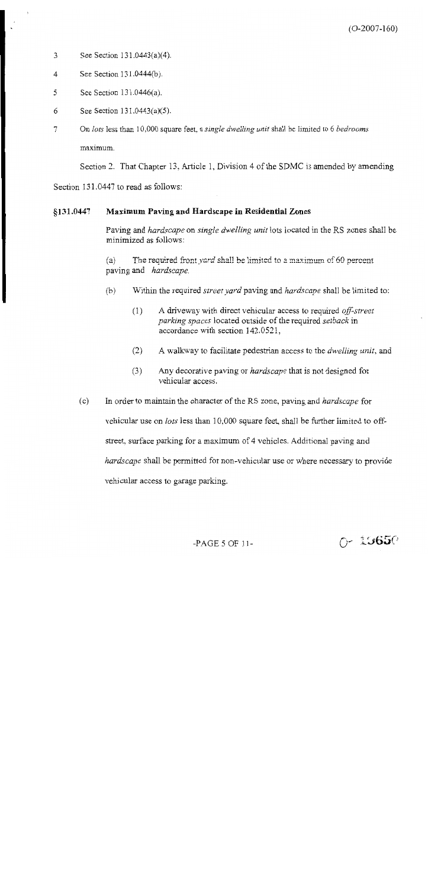$0 - 1.5650$ 

- $\mathfrak{Z}$ See Section 131.0443(a)(4).
- 4 See Section 131.0444(b).
- 5 See Section 131.0446(a).
- 6 See Section 131.0443(a)(5).
- 7 On lots less than 10,000 square feet, a single dwelling unit shall be limited to 6 bedrooms maximum.

Section 2. That Chapter 13, Article 1, Division 4 of the SDMC is amended by amending

Section 131,0447 to read as follows:

#### \$131.0447 Maximum Paving and Hardscape in Residential Zones

Paving and hardscape on single dwelling unit lots located in the RS zones shall be minimized as follows:

The required front *yard* shall be limited to a maximum of 60 percent  $(a)$ paving and *hardscape*.

- $(b)$ Within the required *street yard* paving and *hardscape* shall be limited to:
	- $(1)$ A driveway with direct vehicular access to required off-street parking spaces located outside of the required setback in accordance with section 142.0521.
	- $(2)$ A walkway to facilitate pedestrian access to the *dwelling unit*, and
	- $(3)$ Any decorative paving or *hardscape* that is not designed for vehicular access.

 $(c)$ In order to maintain the character of the RS zone, paving and *hardscape* for vehicular use on *lots* less than 10,000 square feet, shall be further limited to offstreet, surface parking for a maximum of 4 vehicles. Additional paving and *hardscape* shall be permitted for non-vehicular use or where necessary to provide vehicular access to garage parking.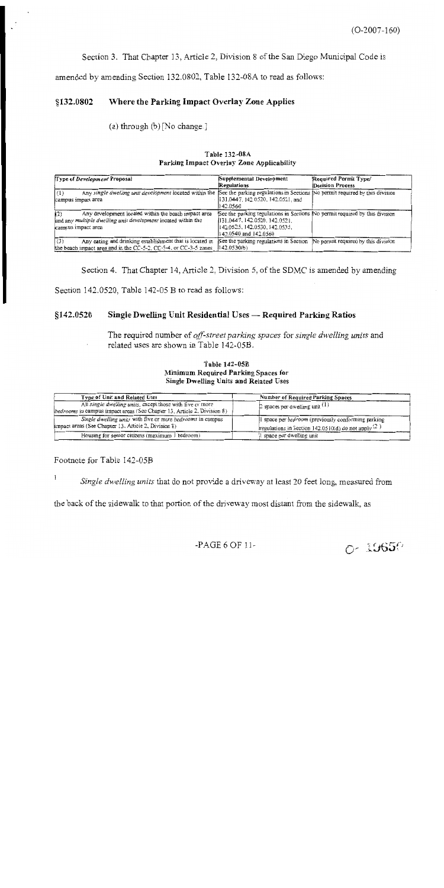$0 - 19650$ 

Section 3. That Chapter 13, Article 2, Division 8 of the San Diego Municipal Code is

amended by amending Section 132.0802, Table 132-08A to read as follows:

#### Where the Parking Impact Overlay Zone Applies \$132.0802

(a) through  $(b)$  [No change.]

| Table 132-08A                             |
|-------------------------------------------|
| Parking Impact Overlay Zone Applicability |

| Type of Development Proposal                                                                                                                | Supplemental Development                                                    | Required Permit Type    |
|---------------------------------------------------------------------------------------------------------------------------------------------|-----------------------------------------------------------------------------|-------------------------|
|                                                                                                                                             | Regulations                                                                 | <b>Decision Process</b> |
| Any single dwelling unit development located within the See the parking regulations in Sections [No permit required by this division<br>(1) |                                                                             |                         |
| campus impact area                                                                                                                          | 131.0447, 142.0520, 142.0521, and                                           |                         |
|                                                                                                                                             | 142.0560                                                                    |                         |
| (2)<br>Any development located within the beach impact area                                                                                 | See the parking regulations in Sections No permit required by this division |                         |
| and any multiple dwelling unit development located within the                                                                               | 131.0447, 142.0520, 142.0521,                                               |                         |
| campus impact area                                                                                                                          | 142.0525, 142.0530, 142.0535,                                               |                         |
|                                                                                                                                             | 142.0540 and 142.0560                                                       |                         |
| Any eating and drinking establishment that is located in<br>(3)                                                                             | See the parking regulations in Section No permit required by this division  |                         |
| the beach impact area and in the CC-5-2. CC-5-4. or CC-3-5 zones                                                                            | 142.0530(b)                                                                 |                         |

Section 4. That Chapter 14, Article 2. Division 5, of the SDMC is amended by amending

Section 142.0520, Table 142-05 B to read as follows:

#### Single Dwelling Unit Residential Uses — Required Parking Ratios  $§142.0520$

The required number of off-street parking spaces for single dwelling units and related uses are shown in Table 142-05B.

### Table 142-05B Minimum Required Parking Spaces for **Single Dwelling Units and Related Uses**

| Type of Unit and Related Uses                                                                                                               | Number of Required Parking Spaces                          |
|---------------------------------------------------------------------------------------------------------------------------------------------|------------------------------------------------------------|
| All single dwelling units, except those with five or more<br><i>bedrooms</i> in campus impact areas (See Chapter 13, Article 2, Division 8) | 2 spaces per dwelling unit $(1)$                           |
| Single dwelling units with five or more bedrooms in campus                                                                                  | It space per <i>bedroom</i> (previously conforming parking |
| impact areas (See Chapter 13, Article 2, Division 8)                                                                                        | regulations in Section 142.0510(d) do not apply $(2)$      |
| Housing for senior citizens (maximum 1 bedroom)                                                                                             | l space per dwelling unit                                  |

Footnote for Table 142-05B

1

Single dwelling units that do not provide a driveway at least 20 feet long, measured from

the back of the sidewalk to that portion of the driveway most distant from the sidewalk, as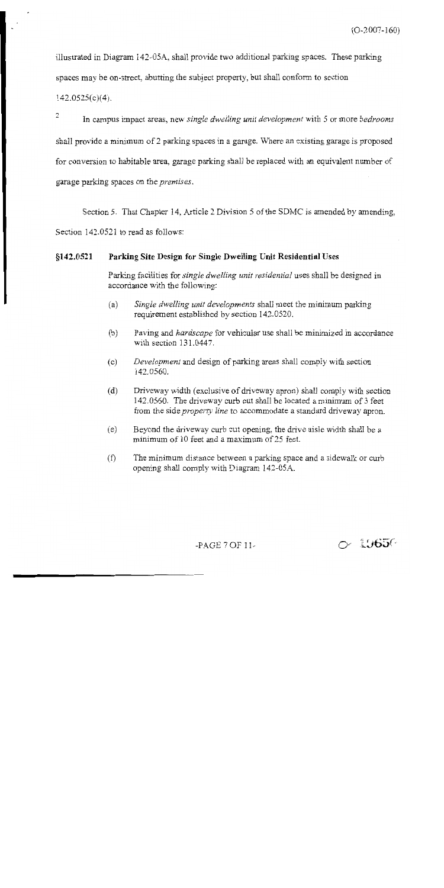illustrated in Diagram 142-05A, shall provide two additional parking spaces. These parking spaces may be on-street, abutting the subject property, but shall conform to section  $142.0525(c)(4)$ .

 $\sqrt{2}$ In campus impact areas, new *single dwelling unit development* with 5 or more *bedrooms* shall provide a minimum of 2 parking spaces in a garage. Where an existing garage is proposed for conversion to habitable area, garage parking shall be replaced with an equivalent number of garage parking spaces on the *premises*.

Section 5. That Chapter 14, Article 2 Division 5 of the SDMC is amended by amending, Section 142.0521 to read as follows:

#### Parking Site Design for Single Dwelling Unit Residential Uses \$142.0521

Parking facilities for single dwelling unit residential uses shall be designed in accordance with the following:

- Single dwelling unit developments shall meet the minimum parking  $(a)$ requirement established by section 142.0520.
- $(b)$ Paving and *hardscape* for vehicular use shall be minimized in accordance with section  $131.0447$ .
- Development and design of parking areas shall comply with section  $(c)$ 142.0560.
- $(d)$ Driveway width (exclusive of driveway apron) shall comply with section 142.0560. The driveway curb cut shall be located a minimum of 3 feet from the side *property line* to accommodate a standard driveway apron.
- Beyond the driveway curb cut opening, the drive aisle width shall be a  $(e)$ minimum of 10 feet and a maximum of 25 feet.
- $(f)$ The minimum distance between a parking space and a sidewalk or curb opening shall comply with Diagram 142-05A.

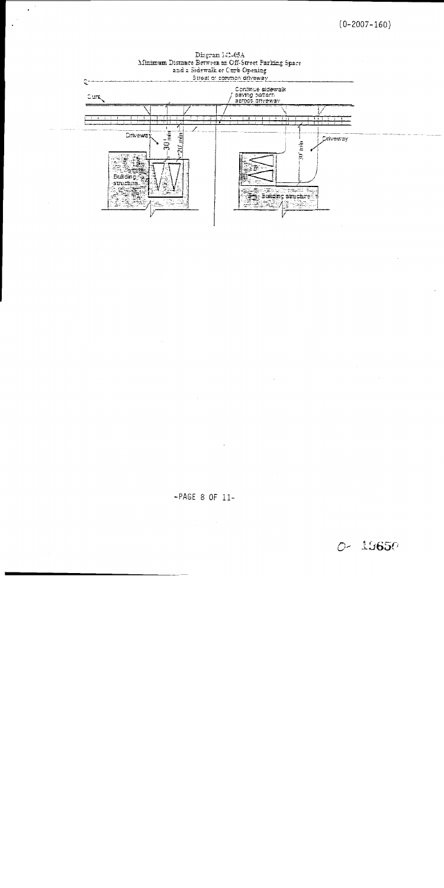

 $\mathcal{C}^{\mathcal{A}}$ 

-PAGE 8 OF 11-

 $\overline{\phantom{a}}$ 

 $\overline{\phantom{a}}$ 

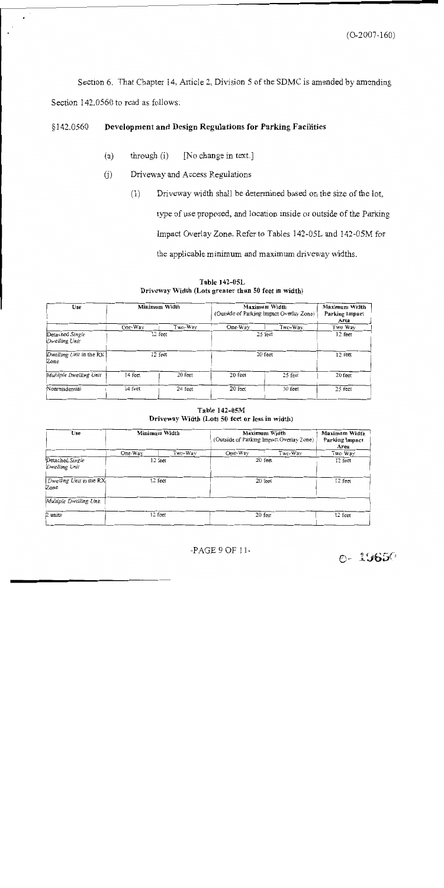Section 6. That Chapter 14, Article 2, Division 5 of the SDMC is amended by amending Section 142.0560 to read as follows:

#### Development and Design Regulations for Parking Facilities  $§142.0560$

- $(a)$  $through (i)$ [No change in text.]
- Driveway and Access Regulations  $(i)$ 
	- $(1)$ Driveway width shall be determined based on the size of the lot, type of use proposed, and location inside or outside of the Parking Impact Overlay Zone. Refer to Tables 142-05L and 142-05M for the applicable minimum and maximum driveway widths.

| Use                              |         | Minimum Width | Maximum Width<br>(Outside of Parking Impact Overlay Zone) | Maximum Width<br>Parking Impact<br>Area |         |  |  |
|----------------------------------|---------|---------------|-----------------------------------------------------------|-----------------------------------------|---------|--|--|
|                                  | One-Way | Two-Way       | One-Way                                                   | Two-Wav                                 | Two Way |  |  |
| Detached Single<br>Dwelling Unit | 12 feet |               |                                                           | 25 feet                                 |         |  |  |
| Dwelling Unit in the RX<br>Zone  |         | 12 feet       |                                                           | 20 feet                                 | 12 feet |  |  |
| Multiple Dwelling Unit           | 14 feet | 20 feet       | 20 feet                                                   | 25 feet                                 | 20 feet |  |  |
| Nonresidential                   | 14 feet | 24 feet       |                                                           | 30 feet                                 | 25 feet |  |  |

Table 142-05L Driveway Width (Lots greater than 50 feet in width)

Table 142-05M Driveway Width (Lots 50 feet or less in width)

| Use                              | Minimum Width |         | Maximum Width<br>(Outside of Parking Impact Overlay Zone) |         | Maximum Width<br>Parking Impact<br>Area |  |
|----------------------------------|---------------|---------|-----------------------------------------------------------|---------|-----------------------------------------|--|
|                                  | One-Way       | Two-Way | One-Way                                                   | Two-Way | Two Wav                                 |  |
| Detached Single<br>Dwelling Unit |               | 12 feet |                                                           | 20 feet |                                         |  |
| Dwelling Unit in the RX<br>Zone  |               | 12 feet |                                                           | 20 feet |                                         |  |
| Multiple Dwelling Unit           |               |         |                                                           |         |                                         |  |
| 2 units<br>12 feet               |               |         | 20 feet                                                   | 12 feet |                                         |  |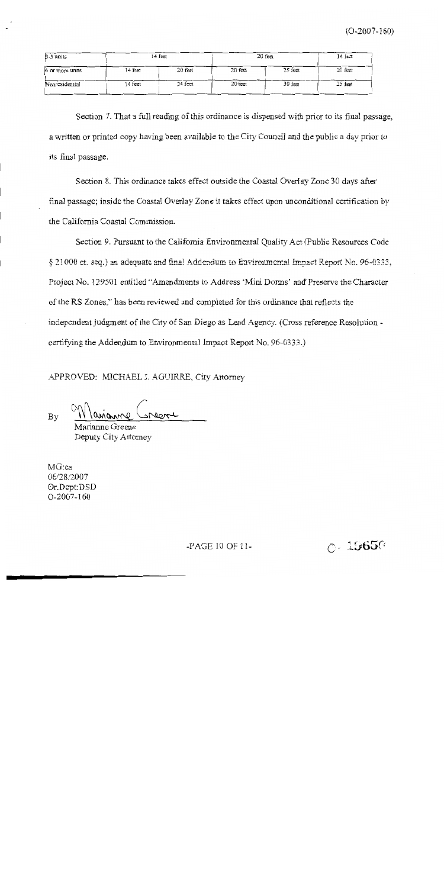$0.19656$ 

| $3-5$ units      |         | 14 feet | 20 feet |         | 14 feet |
|------------------|---------|---------|---------|---------|---------|
| to or more units | 14 feet | 20 feet | 20 feet | 25 feet | 20 feet |
| Nonresidential   | 14 feet | 24 feet | 20 feet | 30 feet | 25 feet |

Section 7. That a full reading of this ordinance is dispensed with prior to its final passage, a written or printed copy having been available to the City Council and the public a day prior to its final passage.

Section 8. This ordinance takes effect outside the Coastal Overlay Zone 30 days after final passage; inside the Coastal Overlay Zone it takes effect upon unconditional certification by the California Coastal Commission.

Section 9. Pursuant to the California Environmental Quality Act (Public Resources Code § 21000 et. seq.) an adequate and final Addendum to Environmental Impact Report No. 96-0333, Project No. 129501 entitled "Amendments to Address 'Mini Dorms' and Preserve the Character of the RS Zones," has been reviewed and completed for this ordinance that reflects the independent judgment of the City of San Diego as Lead Agency. (Cross reference Resolution certifying the Addendum to Environmental Impact Report No. 96-0333.)

APPROVED: MICHAEL J. AGUIRRE, City Attorney

By

Marianne Greene Deputy City Attorney

MG:ca 06/28/2007 Or.Dept:DSD  $O - 2007 - 160$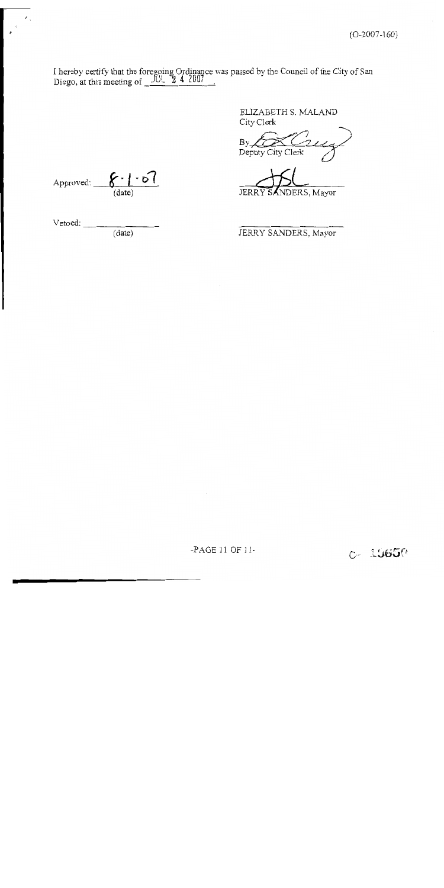I hereby certify that the foregoing Ordinance was passed by the Council of the City of San Diego, at this meeting of  $10L$  2 4 2007

ELIZABETH S. MALAND City Clerk

By Deputy City Clerk

SANDERS, Mayor JERRY

Approved: ا ס · (date)

JERRY SANDERS, Mayor

Vetoed:

 $\overline{(date)}$ 

-PAGE 11 OF 11-

C- 15650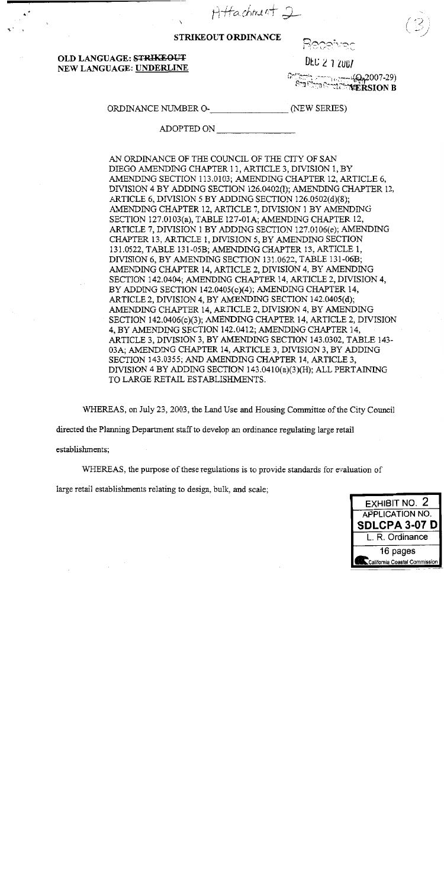Attachment 2

### STRIKEOUT ORDINANCE

Received

### OLD LANGUAGE: STRIKEOUT NEW LANGUAGE: UNDERLINE

DEC 2 7 2007

Gallierin Jacobus (1972007-29)

ORDINANCE NUMBER O- (NEW SERIES)

ADOPTED ON

AN ORDINANCE OF THE COUNCIL OF THE CITY OF SAN DIEGO AMENDING CHAPTER 11, ARTICLE 3, DIVISION 1, BY AMENDING SECTION 113.0103; AMENDING CHAPTER 12, ARTICLE 6, DIVISION 4 BY ADDING SECTION 126.0402(1); AMENDING CHAPTER 12. ARTICLE 6, DIVISION 5 BY ADDING SECTION 126.0502(d)(8); AMENDING CHAPTER 12, ARTICLE 7, DIVISION 1 BY AMENDING SECTION 127.0103(a), TABLE 127-01A; AMENDING CHAPTER 12, ARTICLE 7, DIVISION 1 BY ADDING SECTION 127.0106(e): AMENDING CHAPTER 13, ARTICLE 1, DIVISION 5, BY AMENDING SECTION 131.0522, TABLE 131-05B; AMENDING CHAPTER 13, ARTICLE 1, DIVISION 6, BY AMENDING SECTION 131.0622, TABLE 131-06B; AMENDING CHAPTER 14, ARTICLE 2, DIVISION 4, BY AMENDING SECTION 142.0404; AMENDING CHAPTER 14, ARTICLE 2, DIVISION 4, BY ADDING SECTION 142.0405(c)(4); AMENDING CHAPTER 14, ARTICLE 2, DIVISION 4, BY AMENDING SECTION 142.0405(d); AMENDING CHAPTER 14, ARTICLE 2, DIVISION 4, BY AMENDING SECTION 142.0406(c)(3); AMENDING CHAPTER 14, ARTICLE 2, DIVISION 4, BY AMENDING SECTION 142.0412; AMENDING CHAPTER 14, ARTICLE 3, DIVISION 3, BY AMENDING SECTION 143.0302, TABLE 143-03A; AMENDING CHAPTER 14, ARTICLE 3, DIVISION 3, BY ADDING SECTION 143.0355; AND AMENDING CHAPTER 14, ARTICLE 3, DIVISION 4 BY ADDING SECTION 143.0410(a)(3)(H); ALL PERTAINING TO LARGE RETAIL ESTABLISHMENTS.

WHEREAS, on July 23, 2003, the Land Use and Housing Committee of the City Council

directed the Planning Department staff to develop an ordinance regulating large retail

establishments:

WHEREAS, the purpose of these regulations is to provide standards for evaluation of

large retail establishments relating to design, bulk, and scale;

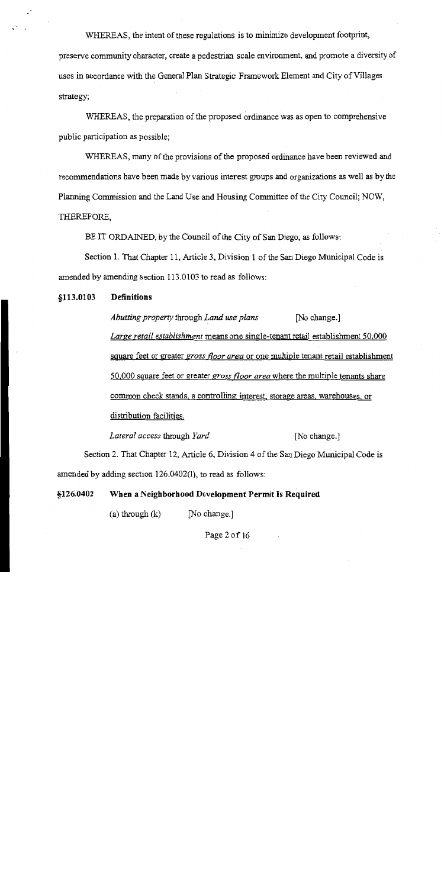WHEREAS, the intent of these regulations is to minimize development footprint, preserve community character, create a pedestrian scale environment, and promote a diversity of uses in accordance with the General Plan Strategic Framework Element and City of Villages strategy;

WHEREAS, the preparation of the proposed ordinance was as open to comprehensive public participation as possible;

WHEREAS, many of the provisions of the proposed ordinance have been reviewed and recommendations have been made by various interest groups and organizations as well as by the Planning Commission and the Land Use and Housing Committee of the City Council; NOW, THEREFORE.

BE IT ORDAINED, by the Council of the City of San Diego, as follows:

Section 1. That Chapter 11, Article 3, Division 1 of the San Diego Municipal Code is amended by amending section 113.0103 to read as follows:

#### §113.0103 **Definitions**

Abutting property through Land use plans [No change.] Large retail establishment means one single-tenant retail establishment 50,000 square feet or greater gross floor area or one multiple tenant retail establishment 50,000 square feet or greater gross floor area where the multiple tenants share common check stands, a controlling interest, storage areas, warehouses, or distribution facilities.

Lateral access through Yard

[No change.]

Section 2. That Chapter 12, Article 6, Division 4 of the San Diego Municipal Code is amended by adding section 126.0402(l), to read as follows:

#### When a Neighborhood Development Permit Is Required §126.0402

 $(a)$  through  $(k)$ [No change.]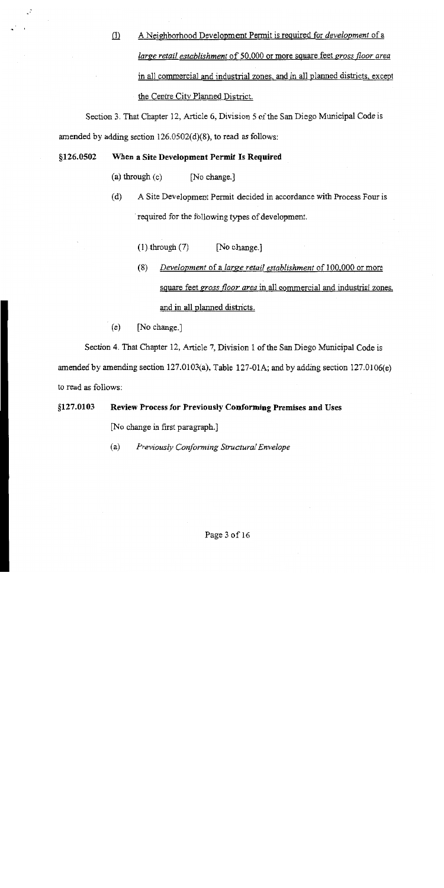A Neighborhood Development Permit is required for *development* of a  $\Omega$ large retail establishment of 50,000 or more square feet gross floor area in all commercial and industrial zones, and in all planned districts, except the Centre City Planned District.

Section 3. That Chapter 12, Article 6, Division 5 of the San Diego Municipal Code is amended by adding section  $126.0502(d)(8)$ , to read as follows:

#### When a Site Development Permit Is Required \$126.0502

 $(a)$  through  $(c)$ [No change.]

- $(d)$ A Site Development Permit decided in accordance with Process Four is required for the following types of development.
	- $(1)$  through  $(7)$ [No change.]
	- $(8)$ Development of a large retail establishment of 100,000 or more square feet gross floor area in all commercial and industrial zones. and in all planned districts.
- $(e)$ [No change.]

Section 4. That Chapter 12, Article 7, Division 1 of the San Diego Municipal Code is amended by amending section 127.0103(a), Table 127-01A; and by adding section 127.0106(e) to read as follows:

#### §127.0103 Review Process for Previously Conforming Premises and Uses

[No change in first paragraph.]

 $(a)$ Previously Conforming Structural Envelope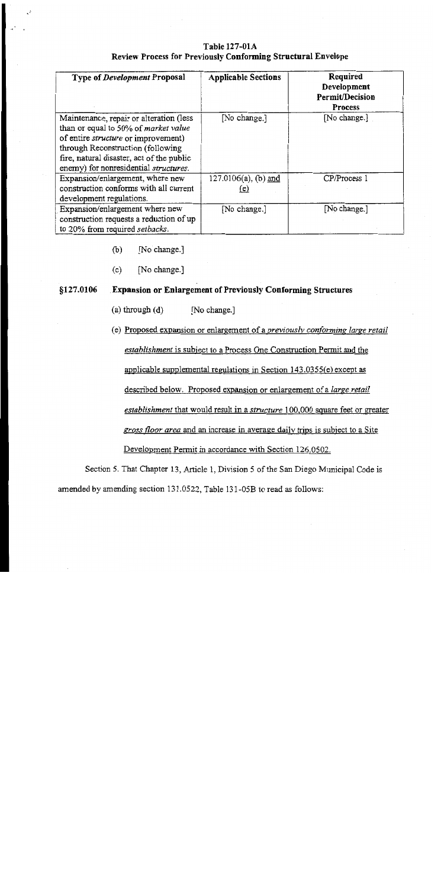| Type of Development Proposal                                                                                                                                                                                                                      | <b>Applicable Sections</b>            | Required<br>Development<br><b>Permit/Decision</b><br><b>Process</b> |
|---------------------------------------------------------------------------------------------------------------------------------------------------------------------------------------------------------------------------------------------------|---------------------------------------|---------------------------------------------------------------------|
| Maintenance, repair or alteration (less<br>than or equal to 50% of market value<br>of entire structure or improvement)<br>through Reconstruction (following<br>fire, natural disaster, act of the public<br>enemy) for nonresidential structures. | [No change.]                          | [No change.]                                                        |
| Expansion/enlargement, where new<br>construction conforms with all current<br>development regulations.                                                                                                                                            | $127.0106(a)$ , (b) and<br><u>(e)</u> | CP/Process 1                                                        |
| Expansion/enlargement where new<br>construction requests a reduction of up<br>to 20% from required setbacks.                                                                                                                                      | [No change.]                          | [No change.]                                                        |

### Table 127-01A Review Process for Previously Conforming Structural Envelope

- $(b)$ [No change.]
- $(c)$ [No change.]

#### §127.0106 **Expansion or Enlargement of Previously Conforming Structures**

 $(a)$  through  $(d)$ [No change.]

(e) Proposed expansion or enlargement of a previously conforming large retail establishment is subject to a Process One Construction Permit and the applicable supplemental regulations in Section 143.0355(e) except as described below. Proposed expansion or enlargement of a large retail establishment that would result in a structure 100,000 square feet or greater gross floor area and an increase in average daily trips is subject to a Site Development Permit in accordance with Section 126,0502.

Section 5. That Chapter 13, Article 1, Division 5 of the San Diego Municipal Code is amended by amending section 131.0522, Table 131-05B to read as follows: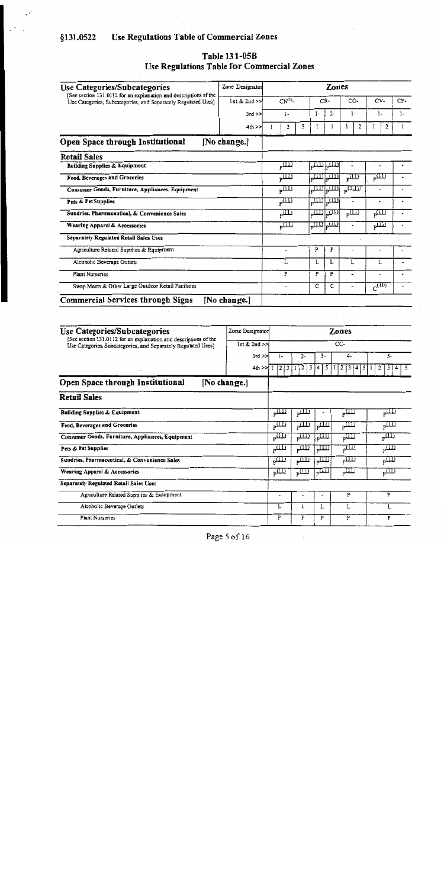### §131.0522 Use Regulations Table of Commercial Zones

# Table 131-05B Use Regulations Table for Commercial Zones

| Use Categories/Subcategories                                                                                                      | Zone Designator  | Zones        |                            |   |                               |                                |                                         |                |                      |                |      |  |
|-----------------------------------------------------------------------------------------------------------------------------------|------------------|--------------|----------------------------|---|-------------------------------|--------------------------------|-----------------------------------------|----------------|----------------------|----------------|------|--|
| [See section 131,0112 for an explanation and descriptions of the<br>Use Categories, Subcategories, and Separately Regulated Uses] | $1st & 2nd \geq$ | $CN^{(1)}$ - |                            |   |                               | CR-                            | CO-                                     |                | CV-                  |                | CP-  |  |
|                                                                                                                                   | $3rd \gg$        |              | $\mathbf{1}$               |   | $1-$                          | $2 -$                          |                                         | $1 -$          | $1-$                 |                | $1-$ |  |
|                                                                                                                                   | $4th$ $>$        |              | $\overline{\mathbf{2}}$    | 3 |                               |                                | 1                                       | $\overline{2}$ |                      | $\overline{2}$ |      |  |
| Open Space through Institutional                                                                                                  | [No change.]     |              |                            |   |                               |                                |                                         |                |                      |                |      |  |
| <b>Retail Sales</b>                                                                                                               |                  |              |                            |   |                               |                                |                                         |                |                      |                |      |  |
| <b>Building Supplies &amp; Equipment</b>                                                                                          |                  |              | <u>-m</u>                  |   | $\mathbb{Z}$                  | $\mathbb{D}_{\sigma^{\sharp}}$ |                                         |                | ٠                    |                |      |  |
| Food, Beverages and Groceries                                                                                                     |                  |              | $\frac{1}{\pi}$            |   | <u>"ml</u>                    | <u>,m</u>                      | $\mathbf{p}^{\overline{\mathrm{(11)}}}$ |                | $\overline{P}$       |                |      |  |
| Consumer Goods, Furniture, Appliances, Equipment                                                                                  |                  |              | $\mu^{\text{(III)}}$       |   | $\sqrt{\text{up}}$            | <u>,щ</u>                      | $\mathbf{p}^{(3,11)}$                   |                | $\overline{a}$       |                |      |  |
| Pets & Pet Supplies                                                                                                               |                  |              | $\overline{\rm cm}$        |   | $\overline{\text{m}}$         | ىس                             |                                         |                | $\ddot{\phantom{0}}$ |                |      |  |
| Sundries, Pharmaceutical, & Convenience Sales                                                                                     |                  |              | $\frac{1}{2}$              |   | $\overline{\mathbb{D}}_q$     | $\text{Im}_{q}$                | $P^{\text{(II)}}$                       |                | $p^{(1)}$            |                |      |  |
| Wearing Apparel & Accessories                                                                                                     |                  |              | $\mathbf{p}^{\text{(II)}}$ |   | $\mathbb{F}_p^{\text{(III)}}$ | $\mathbb{L}_{p}(\Pi)$          |                                         |                | $F^{\rm (III)}$      |                |      |  |
| Separately Regulated Retail Sales Uses                                                                                            |                  |              |                            |   |                               |                                |                                         |                |                      |                |      |  |
| Agriculture Related Supplies & Equipment                                                                                          |                  |              | $\overline{\phantom{a}}$   |   | P                             | P                              | $\blacksquare$                          |                | $\blacksquare$       |                |      |  |
| Alcoholic Beverage Outlets                                                                                                        |                  |              | L                          |   | L                             | L                              | L                                       |                | L                    |                |      |  |
| <b>Plant Nurseries</b>                                                                                                            |                  |              | P                          |   | P                             | P                              | $\overline{\phantom{0}}$                |                | $\blacksquare$       |                |      |  |
| Swap Meets & Other Large Outdoor Retail Facilities                                                                                |                  |              |                            |   | с                             | C                              |                                         |                | $c^{(10)}$           |                |      |  |
| <b>Commercial Services through Signs</b>                                                                                          | [No change.]     |              |                            |   |                               |                                |                                         |                |                      |                |      |  |

| Use Categories/Subcategories<br>[See section 131.0112 for an explanation and descriptions of the | Zone Designator |                                      | Zones             |                                |                                 |                     |  |  |  |  |  |
|--------------------------------------------------------------------------------------------------|-----------------|--------------------------------------|-------------------|--------------------------------|---------------------------------|---------------------|--|--|--|--|--|
| Use Categories, Subcategories, and Separately Regulated Uses}                                    | 1st & 2nd $>$   | CC-                                  |                   |                                |                                 |                     |  |  |  |  |  |
|                                                                                                  | $3rd \ge$       |                                      | $2-$              | $3-$                           | 4-                              | 5-                  |  |  |  |  |  |
|                                                                                                  | $4th \geq 1$    | $\overline{\mathbf{3}}$<br>2         | 3<br>2            | 4<br>5                         | 3<br>2<br>5<br>4                | 2<br>3<br>4         |  |  |  |  |  |
| Open Space through Institutional                                                                 | [No change.]    |                                      |                   |                                |                                 |                     |  |  |  |  |  |
| <b>Retail Sales</b>                                                                              |                 |                                      |                   |                                |                                 |                     |  |  |  |  |  |
| <b>Building Supplies &amp; Equipment</b>                                                         |                 | $\overline{\mathbf{r}^{\text{III}}}$ | $p^{\text{(II)}}$ |                                | $\overline{\text{h}}$           | $\mu$ II            |  |  |  |  |  |
| Food, Beverages and Groceries                                                                    |                 | $\overline{\rm cm}$                  | $\frac{1}{p}$     | $\mathbb{H}_{\mathbf{p}}(\Pi)$ | $\overline{P}$ <sup>(II)</sup>  | $p^{(11)}$          |  |  |  |  |  |
| Consumer Goods, Furniture, Appliances, Equipment                                                 |                 | $_{\rm p}$ m                         | $\sqrt{\text{m}}$ | $\mathbb{F}_p^{\text{(III)}}$  | <u>,an</u>                      | <u>,(II)</u>        |  |  |  |  |  |
| Pets & Pet Supplies                                                                              |                 | $\frac{1}{2}$                        | <u>,/II)</u>      | $\overline{\rm d}$             | <u>nm</u>                       | $\overline{\rm cm}$ |  |  |  |  |  |
| Sundries, Pharmaceutical, & Convenience Sales                                                    |                 | $\overline{\rm cm}$                  | <u>يا آل</u>      | $\overline{\text{min}}$        | $\overline{\text{m}}$           | $\overline{\rm cm}$ |  |  |  |  |  |
| Wearing Apparel & Accessories                                                                    |                 | $\overline{\text{p}}$ II             | $\sqrt{n}$        | $_{\rm p}$ (II)                | $\overline{P}$ <sup>(III)</sup> | <u>,(II)</u>        |  |  |  |  |  |
| Separately Regulated Retail Sales Uses                                                           |                 |                                      |                   |                                |                                 |                     |  |  |  |  |  |
| Agriculture Related Supplies & Equipment                                                         |                 | $\overline{\phantom{a}}$             |                   | $\blacksquare$                 | P                               | P                   |  |  |  |  |  |
| Alcoholic Beverage Outlets                                                                       |                 | L                                    | L                 | L                              | L                               | L                   |  |  |  |  |  |
| <b>Plant Nurseries</b>                                                                           |                 | P                                    | P                 | P                              | P                               | P                   |  |  |  |  |  |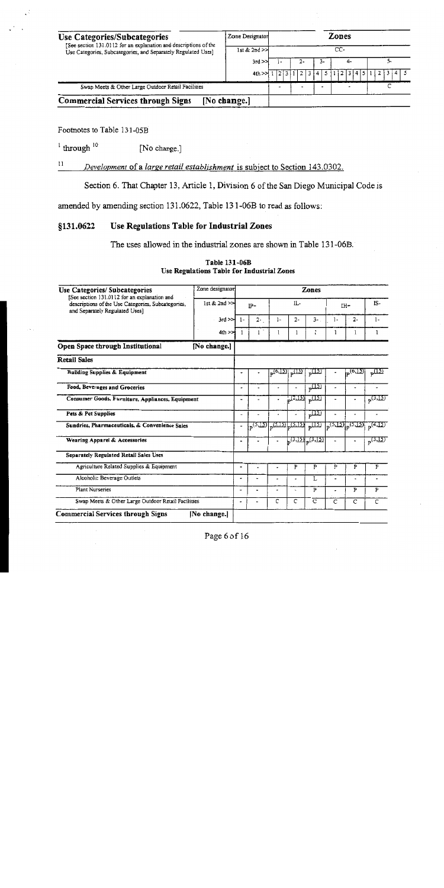| Use Categories/Subcategories                                                                                                      | Zone Designator |  |  |  |     |  |  |    |  | Zones |       |  |  |  |  |
|-----------------------------------------------------------------------------------------------------------------------------------|-----------------|--|--|--|-----|--|--|----|--|-------|-------|--|--|--|--|
| [See section 131.0112 for an explanation and descriptions of the<br>Use Categories, Subcategories, and Separately Regulated Uses] | 1st & 2nd >>    |  |  |  | CC- |  |  |    |  |       |       |  |  |  |  |
|                                                                                                                                   | $3rd \geq$      |  |  |  |     |  |  | 3- |  |       | 4.    |  |  |  |  |
|                                                                                                                                   | 4th >>!         |  |  |  |     |  |  |    |  |       | 3 4 5 |  |  |  |  |
| Swap Meets & Other Large Outdoor Retail Facilities                                                                                |                 |  |  |  |     |  |  |    |  |       |       |  |  |  |  |
| <b>Commercial Services through Signs</b>                                                                                          | [No change.]    |  |  |  |     |  |  |    |  |       |       |  |  |  |  |

Footnotes to Table 131-05B

 $1$  through  $10$ [No change.]

 $\rm 11$ Development of a large retail establishment is subject to Section 143.0302.

Section 6. That Chapter 13, Article 1, Division 6 of the San Diego Municipal Code is

amended by amending section 131.0622, Table 131-06B to read as follows:

#### Use Regulations Table for Industrial Zones §131.0622

The uses allowed in the industrial zones are shown in Table 131-06B.

| <b>Use Categories/ Subcategories</b><br>[See section 131.0112 for an explanation and | Zone designator: | <b>Zones</b>                 |                                                                                 |                |                      |                                            |       |                                                         |              |  |  |  |
|--------------------------------------------------------------------------------------|------------------|------------------------------|---------------------------------------------------------------------------------|----------------|----------------------|--------------------------------------------|-------|---------------------------------------------------------|--------------|--|--|--|
| descriptions of the Use Categories, Subcategories,<br>and Separately Regulated Uses] | 1st & 2nd $\gg$  |                              | $IP-$                                                                           |                | IL-                  |                                            | $IH-$ | IS-                                                     |              |  |  |  |
|                                                                                      | $3rd \geq \geq$  | $1 -$                        | $2 -$                                                                           | $\mathbf{1}$   | $2 -$                | $3 -$                                      | 1-    | $2 -$                                                   | $1 -$        |  |  |  |
|                                                                                      | 4th >>           | 1                            |                                                                                 |                | ł                    | 1                                          |       | 1                                                       | 1            |  |  |  |
| Open Space through Institutional                                                     | [No change.]     |                              |                                                                                 |                |                      |                                            |       |                                                         |              |  |  |  |
| <b>Retail Sales</b>                                                                  |                  |                              |                                                                                 |                |                      |                                            |       |                                                         |              |  |  |  |
| <b>Building Supplies &amp; Equipment</b>                                             |                  |                              |                                                                                 | $p^{[6,15]}$   | p(15)                | $p\sqrt{15}$                               |       | $p^{(6,15)}$                                            | $L^{(15)}$   |  |  |  |
| Food, Beverages and Groceries                                                        |                  | $\blacksquare$               |                                                                                 |                |                      | p(15)                                      |       |                                                         |              |  |  |  |
| Consumer Goods, Furniture, Appliances, Equipment                                     |                  |                              |                                                                                 | $\overline{a}$ | $\frac{1}{2}$ (2,15) | $p^{(15)}$                                 |       |                                                         | $b^{(3,15)}$ |  |  |  |
| Pets & Pet Supplies                                                                  |                  | $\qquad \qquad \blacksquare$ |                                                                                 |                |                      | $\frac{1}{10}$                             |       |                                                         |              |  |  |  |
| Sundries, Pharmaceuticals, & Convenience Sales                                       |                  |                              | $\left[\frac{1}{2}(5,15)\right]\frac{1}{2}(5,15)\left[\frac{1}{2}(5,15)\right]$ |                |                      | $p^{(15)}$                                 |       | $\frac{1}{2}$ (5,15) $\frac{1}{2}$ (5,15) $\frac{1}{2}$ | $p^{(4,15)}$ |  |  |  |
| Wearing Apparel & Accessories                                                        |                  |                              |                                                                                 |                |                      | $\frac{1}{10}(3,15)$ <sub>D</sub> $(3,15)$ |       |                                                         | $P^{(3,15)}$ |  |  |  |
| Separately Regulated Retail Sales Uses                                               |                  |                              |                                                                                 |                |                      |                                            |       |                                                         |              |  |  |  |
| Agriculture Related Supplies & Equipment                                             |                  |                              |                                                                                 |                | p                    | P                                          | P     | P                                                       | P            |  |  |  |
| Alcoholic Beverage Outlets                                                           |                  |                              | ٠                                                                               | ۰              |                      | L                                          |       | ٠                                                       |              |  |  |  |
| <b>Plant Nurseries</b>                                                               |                  |                              |                                                                                 |                |                      | P                                          |       | P                                                       | P            |  |  |  |
| Swap Meets & Other Large Outdoor Retail Facilities                                   |                  | $\overline{\phantom{a}}$     | L.                                                                              | C              | C                    | C                                          | C     | C                                                       | C            |  |  |  |

Table 131-06B Use Regulations Table for Industrial Zones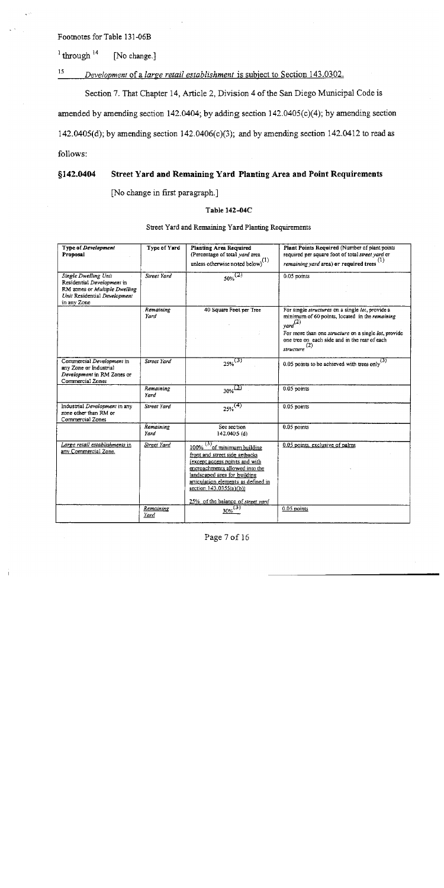Footnotes for Table 131-06B

 $1$  through  $14$ [No change.]

 $15\,$ Development of a large retail establishment is subject to Section 143.0302.

Section 7. That Chapter 14, Article 2, Division 4 of the San Diego Municipal Code is amended by amending section 142.0404; by adding section  $142.0405(c)(4)$ ; by amending section 142.0405(d); by amending section 142.0406(c)(3); and by amending section 142.0412 to read as follows:

#### Street Yard and Remaining Yard Planting Area and Point Requirements §142.0404

[No change in first paragraph.]

### Table 142-04C

| <b>Type of Development</b><br>Proposal                                                                                             | Type of Yard      | <b>Planting Area Required</b><br>(Percentage of total yard area                                                                                                                                                                                                                       | Plant Points Required (Number of plant points<br>required per square foot of total street yard or                                                                                                                                                                                    |
|------------------------------------------------------------------------------------------------------------------------------------|-------------------|---------------------------------------------------------------------------------------------------------------------------------------------------------------------------------------------------------------------------------------------------------------------------------------|--------------------------------------------------------------------------------------------------------------------------------------------------------------------------------------------------------------------------------------------------------------------------------------|
|                                                                                                                                    |                   | unless otherwise noted below) $(1)$                                                                                                                                                                                                                                                   | <i>remaining yard</i> area) or required trees $(1)$                                                                                                                                                                                                                                  |
| Single Dwelling Unit<br>Residential Development in<br>RM zones or Multiple Dwelling<br>Unit Residential Development<br>in any Zone | Street Yard       | $50\%^{(2)}$                                                                                                                                                                                                                                                                          | 0.05 points                                                                                                                                                                                                                                                                          |
|                                                                                                                                    | Remaining<br>Yard | 40 Square Feet per Tree                                                                                                                                                                                                                                                               | For single <i>structures</i> on a single lot, provide a<br>minimum of 60 points, located in the remaining<br>$\frac{1}{\sqrt{2}}$<br>For more than one <i>structure</i> on a single <i>lot</i> , provide<br>one tree on each side and in the rear of each<br>strucure <sup>(2)</sup> |
| Commercial Development in<br>any Zone or Industrial<br>Development in RM Zones or<br>Commercial Zones                              | Street Yard       | $25%^{(3)}$                                                                                                                                                                                                                                                                           | (3)<br>0.05 points to be achieved with trees only                                                                                                                                                                                                                                    |
|                                                                                                                                    | Remaining<br>Yard | $30\%$ <sup>(3)</sup>                                                                                                                                                                                                                                                                 | 0.05 points                                                                                                                                                                                                                                                                          |
| Industrial Development in any<br>zone other than RM or<br>Commercial Zones                                                         | Street Yard       | $25%$ <sup>(4)</sup>                                                                                                                                                                                                                                                                  | 0.05 points                                                                                                                                                                                                                                                                          |
|                                                                                                                                    | Remaining<br>Yard | See section<br>142.0405 (d)                                                                                                                                                                                                                                                           | $0.05$ points                                                                                                                                                                                                                                                                        |
| Large retail establishments in<br>any Commercial Zone.                                                                             | Street Yard       | $\frac{(3)}{100\%}$ of minimum building<br>front and street side setbacks<br>(except access points and with<br>encroachments allowed into the<br>landscaped area for building<br>articulation elements as defined in<br>section $143.0355(a)(b)$<br>25% of the balance of street yard | 0.05 points, exclusive of palms                                                                                                                                                                                                                                                      |
|                                                                                                                                    | Remaining<br>Yard | (3)<br>30%                                                                                                                                                                                                                                                                            | 0.05 points                                                                                                                                                                                                                                                                          |

### Street Yard and Remaining Yard Planting Requirements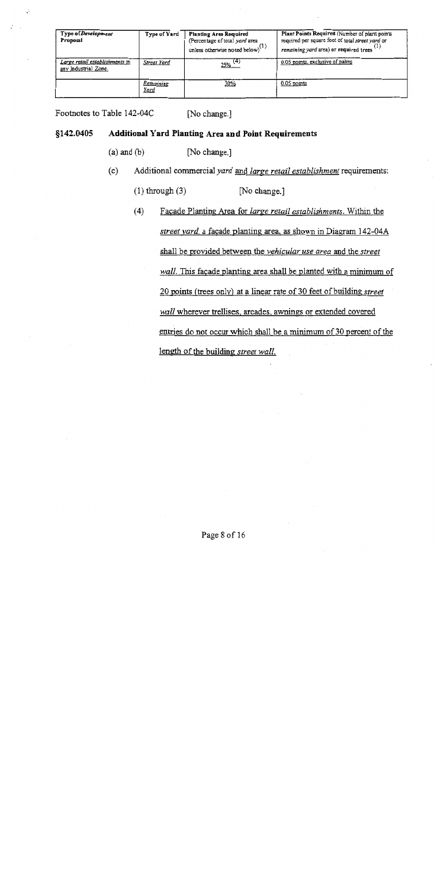| <b>Type of Development</b><br>Proposal                 | Type of Yard      | <b>Planting Area Required</b><br>(Percentage of total yard area<br>unless otherwise noted below) <sup>(1)</sup> | Plant Points Required (Number of plant points)<br>required per square foot of total street yard or<br>remaining yard area) or required trees <sup>(1)</sup> |
|--------------------------------------------------------|-------------------|-----------------------------------------------------------------------------------------------------------------|-------------------------------------------------------------------------------------------------------------------------------------------------------------|
| Large retail establishments in<br>any Industrial Zone. | Street Yard       | 25% <sup>(4)</sup>                                                                                              | 0.05 points, exclusive of palms                                                                                                                             |
|                                                        | Remaining<br>Yard | 30%                                                                                                             | $0.05$ points                                                                                                                                               |

Footnotes to Table 142-04C [No change.]

#### §142.0405 **Additional Yard Planting Area and Point Requirements**

- $(a)$  and  $(b)$ [No change.]
- $(c)$ Additional commercial yard and large retail establishment requirements:

 $(1)$  through  $(3)$ [No change.]

 $(4)$ Facade Planting Area for large retail establishments. Within the street vard, a façade planting area, as shown in Diagram 142-04A shall be provided between the *vehicular use area* and the *street* wall. This facade planting area shall be planted with a minimum of 20 points (trees only) at a linear rate of 30 feet of building street wall wherever trellises, arcades, awnings or extended covered entries do not occur which shall be a minimum of 30 percent of the length of the building street wall.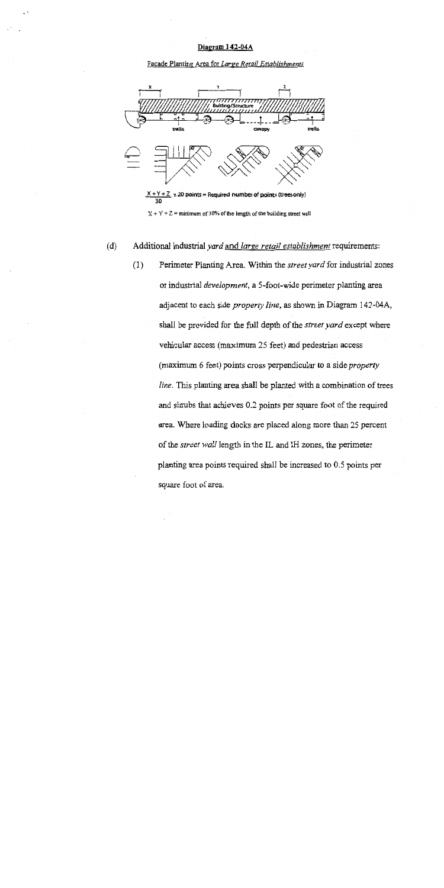### Diagram 142-04A

Facade Planting Area for Large Retail Establishments



- Additional industrial vard and large retail establishment requirements:  $(d)$ 
	- $(1)$ Perimeter Planting Area. Within the *street yard* for industrial zones or industrial *development*, a 5-foot-wide perimeter planting area adjacent to each side *property line*, as shown in Diagram 142-04A, shall be provided for the full depth of the *street yard* except where vehicular access (maximum 25 feet) and pedestrian access (maximum 6 feet) points cross perpendicular to a side *property* line. This planting area shall be planted with a combination of trees and shrubs that achieves 0.2 points per square foot of the required area. Where loading docks are placed along more than 25 percent of the street wall length in the IL and IH zones, the perimeter planting area points required shall be increased to 0.5 points per square foot of area.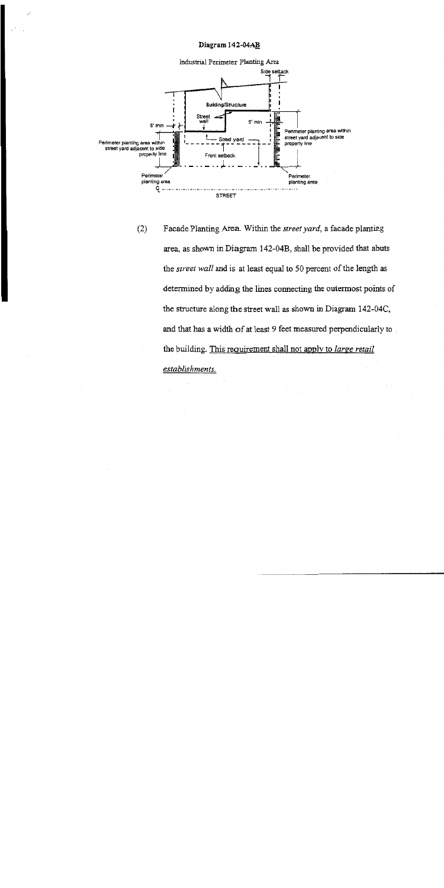

Facade Planting Area. Within the *street yard*, a facade planting  $(2)$ area, as shown in Diagram 142-04B, shall be provided that abuts the street wall and is at least equal to 50 percent of the length as determined by adding the lines connecting the outermost points of the structure along the street wall as shown in Diagram 142-04C, and that has a width of at least 9 feet measured perpendicularly to the building. This requirement shall not apply to large retail establishments.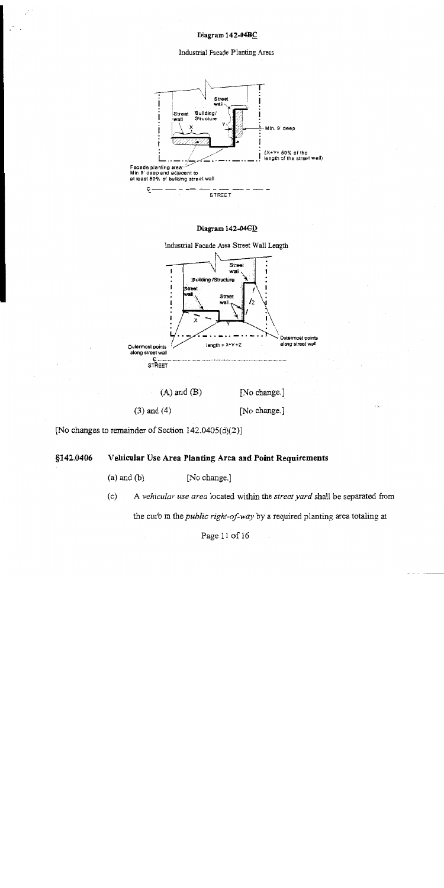Diagram 142-04BC





### Diagram 142-04CD

Industrial Facade Area Street Wall Length



 $(3)$  and  $(4)$ 

[No change.]

[No changes to remainder of Section 142.0405(d)(2)]

#### §142.0406 Vehicular Use Area Planting Area and Point Requirements

- $(a)$  and  $(b)$ [No change.]
- A vehicular use area located within the street yard shall be separated from  $(c)$

the curb in the *public right-of-way* by a required planting area totaling at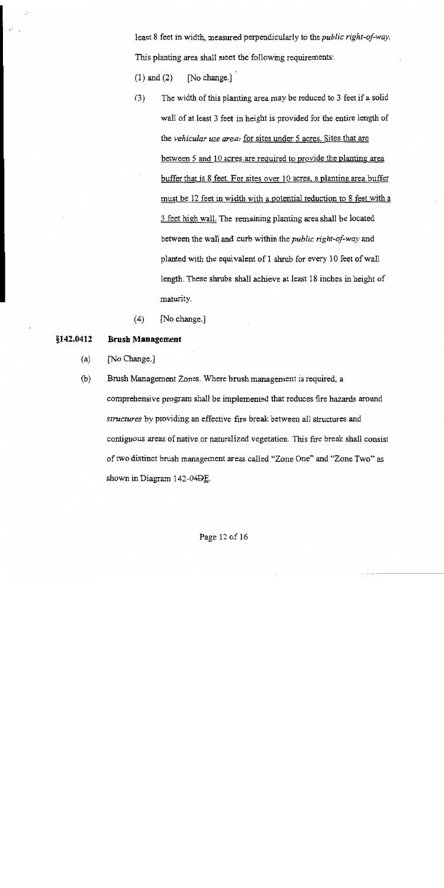least 8 feet in width, measured perpendicularly to the *public right-of-way*. This planting area shall meet the following requirements:

 $(1)$  and  $(2)$ [No change.]

- The width of this planting area may be reduced to 3 feet if a solid  $(3)$ wall of at least 3 feet in height is provided for the entire length of the vehicular use area. for sites under 5 acres. Sites that are between 5 and 10 acres are required to provide the planting area buffer that is 8 feet. For sites over 10 acres, a planting area buffer must be 12 feet in width with a potential reduction to 8 feet with a 3 feet high wall. The remaining planting area shall be located between the wall and curb within the *public right-of-way* and planted with the equivalent of 1 shrub for every 10 feet of wall length. These shrubs shall achieve at least 18 inches in height of maturity.
- $(4)$ [No change.]

#### §142.0412 **Brush Management**

- $(a)$ [No Change.]
- $(b)$ Brush Management Zones. Where brush management is required, a comprehensive program shall be implemented that reduces fire hazards around structures by providing an effective fire break between all structures and contiguous areas of native or naturalized vegetation. This fire break shall consist of two distinct brush management areas called "Zone One" and "Zone Two" as shown in Diagram 142-04<del>D</del>E.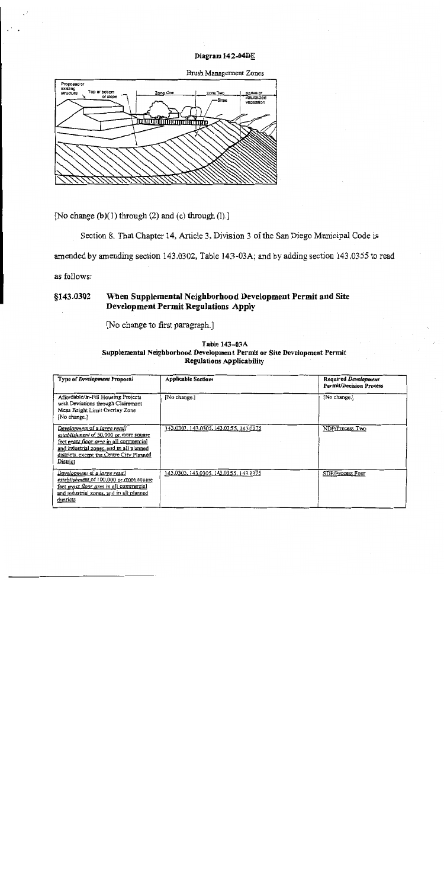### Diagram 142-04DE





[No change  $(b)(1)$  through  $(2)$  and  $(c)$  through  $(l).$ ]

Section 8. That Chapter 14, Article 3, Division 3 of the San Diego Municipal Code is

amended by amending section 143.0302, Table 143-03A; and by adding section 143.0355 to read

as follows:

### When Supplemental Neighborhood Development Permit and Site §143.0302 **Development Permit Regulations Apply**

[No change to first paragraph.]

| Table 143-03A                                                           |  |  |  |  |  |  |
|-------------------------------------------------------------------------|--|--|--|--|--|--|
| Supplemental Neighborhood Development Permit or Site Development Permit |  |  |  |  |  |  |
| <b>Regulations Applicability</b>                                        |  |  |  |  |  |  |

| Type of Development Proposal                                                                                                                                                                                            | <b>Applicable Sections</b>             | <b>Required Development</b><br><b>Permit/Decision Process</b> |
|-------------------------------------------------------------------------------------------------------------------------------------------------------------------------------------------------------------------------|----------------------------------------|---------------------------------------------------------------|
| Affordable/in-Fill Housing Projects<br>with Deviations through Clairemont<br>Mesa Height Limit Overlay Zone<br>[No change.]                                                                                             | [No change.]                           | [No change.]                                                  |
| Development of a large retail<br>establishment of 50,000 or more square<br>feet gross floor area in all commercial<br>and industrial zones, and in all planned<br>districts, except the Centre City Planned<br>District | 143.0303, 143.0305, 143.0355, 143.0375 | NDP/Process Two                                               |
| Development of a large retail<br>establishment of 100,000 or more square<br>feet gross floor area in all commercial<br>and industrial zones, and in all planned<br>districts                                            | 143.0303, 143.0305, 143.0355, 143.0375 | SDP/Process Four                                              |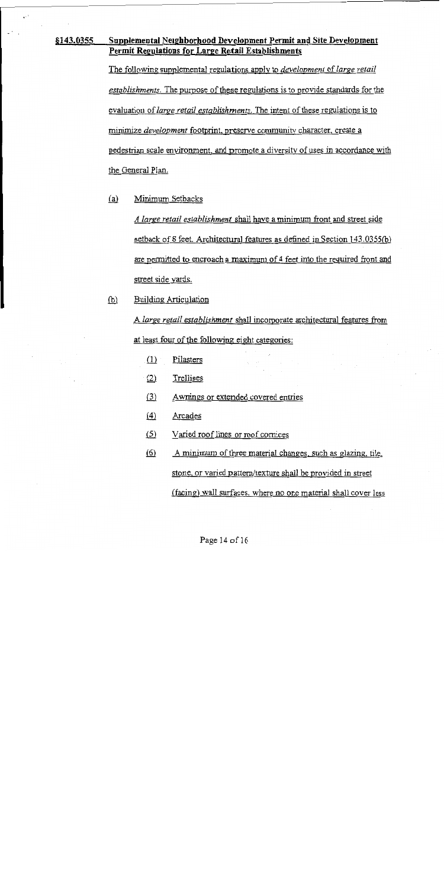### Supplemental Neighborhood Development Permit and Site Development \$143.0355 Permit Regulations for Large Retail Establishments

The following supplemental regulations apply to *development* of *large retail* establishments. The purpose of these regulations is to provide standards for the evaluation of *large retail establishments*. The intent of these regulations is to minimize *development* footprint, preserve community character, create a pedestrian scale environment, and promote a diversity of uses in accordance with the General Plan.

<u>(a)</u> Minimum Setbacks

> A large retail establishment shall have a minimum front and street side setback of 8 feet. Architectural features as defined in Section 143.0355(b) are permitted to encroach a maximum of 4 feet into the required front and street side yards.

 $\overline{(\mathbf{b})}$ **Building Articulation** 

> A large retail establishment shall incorporate architectural features from at least four of the following eight categories:

- $(1)$ Pilasters
- $(2)$ Trellises
- $(3)$ Awnings or extended covered entries
- $(4)$ Arcades
- $(5)$ Varied roof lines or roof cornices
- <u>(6)</u> A minimum of three material changes, such as glazing, tile, stone, or varied pattern/texture shall be provided in street (facing) wall surfaces, where no one material shall cover less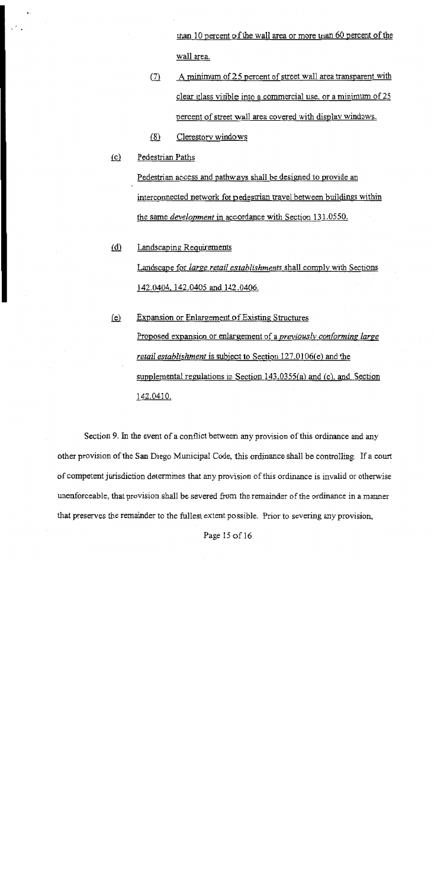than 10 percent of the wall area or more than 60 percent of the wall area.

- $(7)$ A minimum of 25 percent of street wall area transparent with clear glass visible into a commercial use, or a minimum of 25 percent of street wall area covered with display windows.
- $(8)$ Clerestory windows
- $(c)$ Pedestrian Paths

Pedestrian access and pathways shall be designed to provide an interconnected network for pedestrian travel between buildings within the same *development* in accordance with Section 131,0550.

 $(d)$ Landscaping Requirements

> Landscape for *large retail establishments* shall comply with Sections 142.0404, 142.0405 and 142.0406.

Expansion or Enlargement of Existing Structures  $(e)$ Proposed expansion or enlargement of a previously conforming large *retail establishment* is subject to Section 127.0106(e) and the supplemental regulations in Section  $143.0355(a)$  and (c), and Section 142.0410.

Section 9. In the event of a conflict between any provision of this ordinance and any other provision of the San Diego Municipal Code, this ordinance shall be controlling. If a court of competent jurisdiction determines that any provision of this ordinance is invalid or otherwise unenforceable, that provision shall be severed from the remainder of the ordinance in a manner that preserves the remainder to the fullest extent possible. Prior to severing any provision,